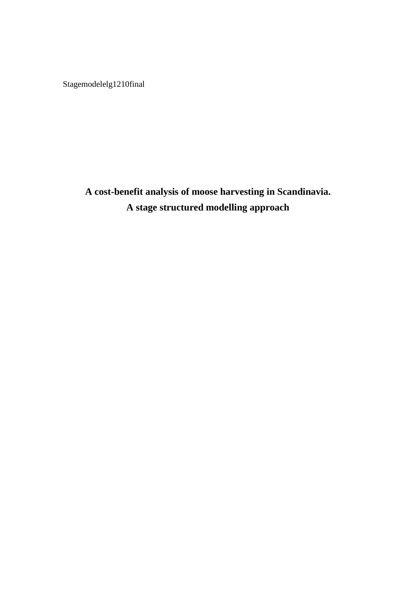Stagemodelelg1210final

**A cost-benefit analysis of moose harvesting in Scandinavia. A stage structured modelling approach**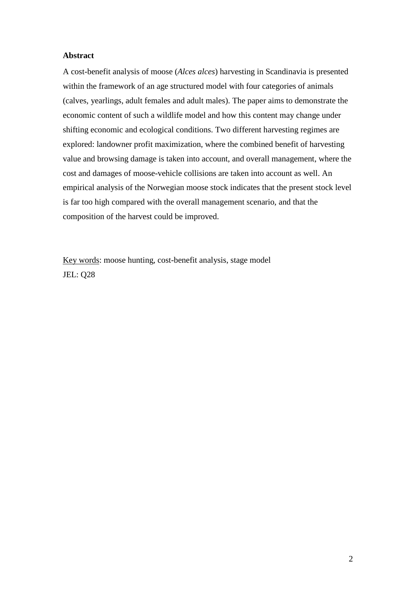### **Abstract**

A cost-benefit analysis of moose (*Alces alces*) harvesting in Scandinavia is presented within the framework of an age structured model with four categories of animals (calves, yearlings, adult females and adult males). The paper aims to demonstrate the economic content of such a wildlife model and how this content may change under shifting economic and ecological conditions. Two different harvesting regimes are explored: landowner profit maximization, where the combined benefit of harvesting value and browsing damage is taken into account, and overall management, where the cost and damages of moose-vehicle collisions are taken into account as well. An empirical analysis of the Norwegian moose stock indicates that the present stock level is far too high compared with the overall management scenario, and that the composition of the harvest could be improved.

Key words: moose hunting, cost-benefit analysis, stage model JEL: Q28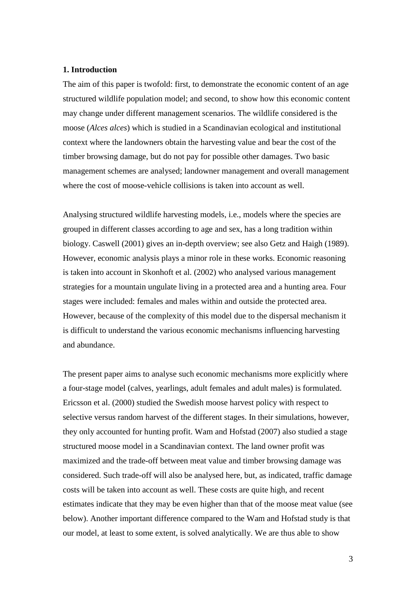#### **1. Introduction**

The aim of this paper is twofold: first, to demonstrate the economic content of an age structured wildlife population model; and second, to show how this economic content may change under different management scenarios. The wildlife considered is the moose (*Alces alces*) which is studied in a Scandinavian ecological and institutional context where the landowners obtain the harvesting value and bear the cost of the timber browsing damage, but do not pay for possible other damages. Two basic management schemes are analysed; landowner management and overall management where the cost of moose-vehicle collisions is taken into account as well.

Analysing structured wildlife harvesting models, i.e., models where the species are grouped in different classes according to age and sex, has a long tradition within biology. Caswell (2001) gives an in-depth overview; see also Getz and Haigh (1989). However, economic analysis plays a minor role in these works. Economic reasoning is taken into account in Skonhoft et al. (2002) who analysed various management strategies for a mountain ungulate living in a protected area and a hunting area. Four stages were included: females and males within and outside the protected area. However, because of the complexity of this model due to the dispersal mechanism it is difficult to understand the various economic mechanisms influencing harvesting and abundance.

The present paper aims to analyse such economic mechanisms more explicitly where a four-stage model (calves, yearlings, adult females and adult males) is formulated. Ericsson et al. (2000) studied the Swedish moose harvest policy with respect to selective versus random harvest of the different stages. In their simulations, however, they only accounted for hunting profit. Wam and Hofstad (2007) also studied a stage structured moose model in a Scandinavian context. The land owner profit was maximized and the trade-off between meat value and timber browsing damage was considered. Such trade-off will also be analysed here, but, as indicated, traffic damage costs will be taken into account as well. These costs are quite high, and recent estimates indicate that they may be even higher than that of the moose meat value (see below). Another important difference compared to the Wam and Hofstad study is that our model, at least to some extent, is solved analytically. We are thus able to show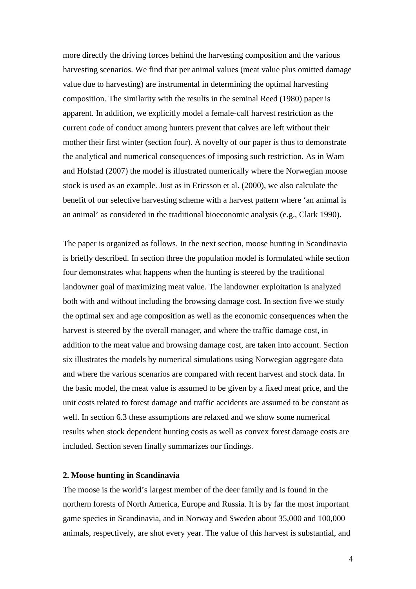more directly the driving forces behind the harvesting composition and the various harvesting scenarios. We find that per animal values (meat value plus omitted damage value due to harvesting) are instrumental in determining the optimal harvesting composition. The similarity with the results in the seminal Reed (1980) paper is apparent. In addition, we explicitly model a female-calf harvest restriction as the current code of conduct among hunters prevent that calves are left without their mother their first winter (section four). A novelty of our paper is thus to demonstrate the analytical and numerical consequences of imposing such restriction. As in Wam and Hofstad (2007) the model is illustrated numerically where the Norwegian moose stock is used as an example. Just as in Ericsson et al. (2000), we also calculate the benefit of our selective harvesting scheme with a harvest pattern where 'an animal is an animal' as considered in the traditional bioeconomic analysis (e.g., Clark 1990).

The paper is organized as follows. In the next section, moose hunting in Scandinavia is briefly described. In section three the population model is formulated while section four demonstrates what happens when the hunting is steered by the traditional landowner goal of maximizing meat value. The landowner exploitation is analyzed both with and without including the browsing damage cost. In section five we study the optimal sex and age composition as well as the economic consequences when the harvest is steered by the overall manager, and where the traffic damage cost, in addition to the meat value and browsing damage cost, are taken into account. Section six illustrates the models by numerical simulations using Norwegian aggregate data and where the various scenarios are compared with recent harvest and stock data. In the basic model, the meat value is assumed to be given by a fixed meat price, and the unit costs related to forest damage and traffic accidents are assumed to be constant as well. In section 6.3 these assumptions are relaxed and we show some numerical results when stock dependent hunting costs as well as convex forest damage costs are included. Section seven finally summarizes our findings.

### **2. Moose hunting in Scandinavia**

The moose is the world's largest member of the deer family and is found in the northern forests of North America, Europe and Russia. It is by far the most important game species in Scandinavia, and in Norway and Sweden about 35,000 and 100,000 animals, respectively, are shot every year. The value of this harvest is substantial, and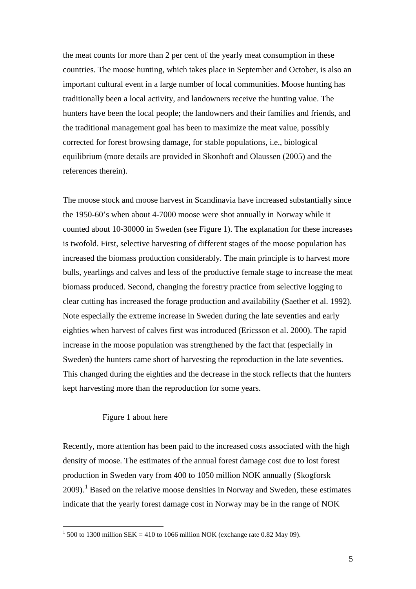the meat counts for more than 2 per cent of the yearly meat consumption in these countries. The moose hunting, which takes place in September and October, is also an important cultural event in a large number of local communities. Moose hunting has traditionally been a local activity, and landowners receive the hunting value. The hunters have been the local people; the landowners and their families and friends, and the traditional management goal has been to maximize the meat value, possibly corrected for forest browsing damage, for stable populations, i.e., biological equilibrium (more details are provided in Skonhoft and Olaussen (2005) and the references therein).

The moose stock and moose harvest in Scandinavia have increased substantially since the 1950-60's when about 4-7000 moose were shot annually in Norway while it counted about 10-30000 in Sweden (see Figure 1). The explanation for these increases is twofold. First, selective harvesting of different stages of the moose population has increased the biomass production considerably. The main principle is to harvest more bulls, yearlings and calves and less of the productive female stage to increase the meat biomass produced. Second, changing the forestry practice from selective logging to clear cutting has increased the forage production and availability (Saether et al. 1992). Note especially the extreme increase in Sweden during the late seventies and early eighties when harvest of calves first was introduced (Ericsson et al. 2000). The rapid increase in the moose population was strengthened by the fact that (especially in Sweden) the hunters came short of harvesting the reproduction in the late seventies. This changed during the eighties and the decrease in the stock reflects that the hunters kept harvesting more than the reproduction for some years.

# Figure 1 about here

Recently, more attention has been paid to the increased costs associated with the high density of moose. The estimates of the annual forest damage cost due to lost forest production in Sweden vary from 400 to 1050 million NOK annually (Skogforsk  $2009$ .<sup>[1](#page-4-0)</sup> Based on the relative moose densities in Norway and Sweden, these estimates indicate that the yearly forest damage cost in Norway may be in the range of NOK

<span id="page-4-0"></span> $1$  500 to 1300 million SEK = 410 to 1066 million NOK (exchange rate 0.82 May 09).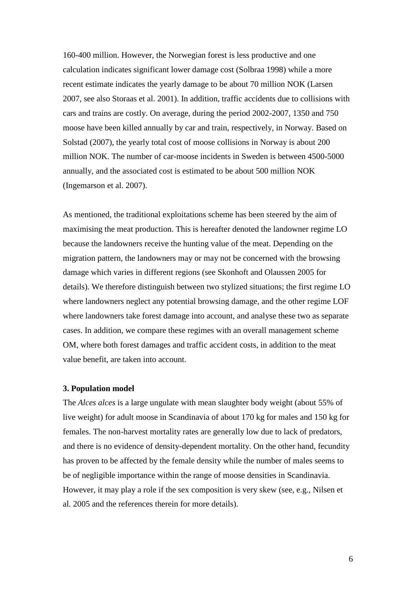160-400 million. However, the Norwegian forest is less productive and one calculation indicates significant lower damage cost (Solbraa 1998) while a more recent estimate indicates the yearly damage to be about 70 million NOK (Larsen 2007, see also Storaas et al. 2001). In addition, traffic accidents due to collisions with cars and trains are costly. On average, during the period 2002-2007, 1350 and 750 moose have been killed annually by car and train, respectively, in Norway. Based on Solstad (2007), the yearly total cost of moose collisions in Norway is about 200 million NOK. The number of car-moose incidents in Sweden is between 4500-5000 annually, and the associated cost is estimated to be about 500 million NOK (Ingemarson et al. 2007).

As mentioned, the traditional exploitations scheme has been steered by the aim of maximising the meat production. This is hereafter denoted the landowner regime LO because the landowners receive the hunting value of the meat. Depending on the migration pattern, the landowners may or may not be concerned with the browsing damage which varies in different regions (see Skonhoft and Olaussen 2005 for details). We therefore distinguish between two stylized situations; the first regime LO where landowners neglect any potential browsing damage, and the other regime LOF where landowners take forest damage into account, and analyse these two as separate cases. In addition, we compare these regimes with an overall management scheme OM, where both forest damages and traffic accident costs, in addition to the meat value benefit, are taken into account.

#### **3. Population model**

The *Alces alces* is a large ungulate with mean slaughter body weight (about 55% of live weight) for adult moose in Scandinavia of about 170 kg for males and 150 kg for females. The non-harvest mortality rates are generally low due to lack of predators, and there is no evidence of density-dependent mortality. On the other hand, fecundity has proven to be affected by the female density while the number of males seems to be of negligible importance within the range of moose densities in Scandinavia. However, it may play a role if the sex composition is very skew (see, e.g., Nilsen et al. 2005 and the references therein for more details).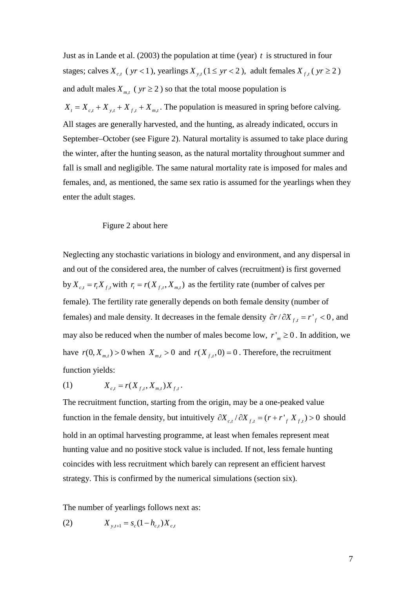Just as in Lande et al. (2003) the population at time (year) *t* is structured in four stages; calves  $X_{c,t}$  (  $yr < 1$  ), yearlings  $X_{y,t}$  (1  $\leq yr < 2$  ), adult females  $X_{f,t}$  (  $yr \ge 2$  ) and adult males  $X_{m,t}$  ( $yr \ge 2$ ) so that the total moose population is  $X_t = X_{t} + X_{t} + X_{t} + X_{m,t}$ . The population is measured in spring before calving. All stages are generally harvested, and the hunting, as already indicated, occurs in September–October (see Figure 2). Natural mortality is assumed to take place during the winter, after the hunting season, as the natural mortality throughout summer and fall is small and negligible. The same natural mortality rate is imposed for males and females, and, as mentioned, the same sex ratio is assumed for the yearlings when they enter the adult stages.

#### Figure 2 about here

Neglecting any stochastic variations in biology and environment, and any dispersal in and out of the considered area, the number of calves (recruitment) is first governed by  $X_{c,t} = r_t X_{f,t}$  with  $r_t = r(X_{f,t}, X_{m,t})$  as the fertility rate (number of calves per female). The fertility rate generally depends on both female density (number of females) and male density. It decreases in the female density  $\partial r / \partial X_{f,t} = r \partial f$ , and may also be reduced when the number of males become low,  $r'_{m} \ge 0$ . In addition, we have  $r(0, X_{m,t}) > 0$  when  $X_{m,t} > 0$  and  $r(X_{f,t}, 0) = 0$ . Therefore, the recruitment function yields:

(1) 
$$
X_{c,t} = r(X_{f,t}, X_{m,t})X_{f,t}.
$$

The recruitment function, starting from the origin, may be a one-peaked value function in the female density, but intuitively  $\partial X_{c,t}/\partial X_{f,t} = (r + r')/K f(t) > 0$  should hold in an optimal harvesting programme, at least when females represent meat hunting value and no positive stock value is included. If not, less female hunting coincides with less recruitment which barely can represent an efficient harvest strategy. This is confirmed by the numerical simulations (section six).

The number of yearlings follows next as:

(2) 
$$
X_{y,t+1} = s_c (1 - h_{c,t}) X_{c,t}
$$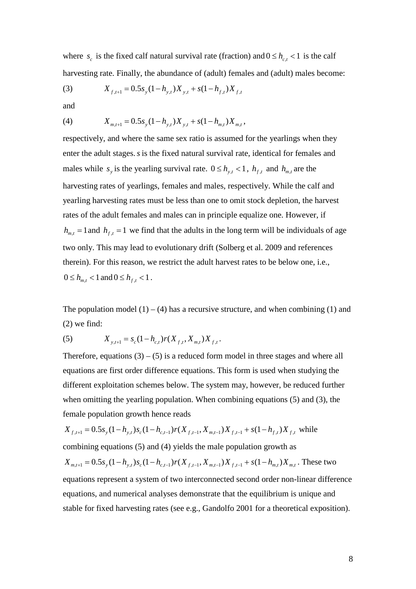where  $s_c$  is the fixed calf natural survival rate (fraction) and  $0 \le h_{c,t} < 1$  is the calf harvesting rate. Finally, the abundance of (adult) females and (adult) males become:

(3) 
$$
X_{f,t+1} = 0.5s_y(1 - h_{y,t})X_{y,t} + s(1 - h_{f,t})X_{f,t}
$$

and

(4) 
$$
X_{m,t+1} = 0.5s_y(1-h_{y,t})X_{y,t} + s(1-h_{m,t})X_{m,t},
$$

respectively, and where the same sex ratio is assumed for the yearlings when they enter the adult stages.*s*is the fixed natural survival rate, identical for females and males while  $s_y$  is the yearling survival rate.  $0 \le h_{y,t} < 1$ ,  $h_{f,t}$  and  $h_{m,t}$  are the harvesting rates of yearlings, females and males, respectively. While the calf and yearling harvesting rates must be less than one to omit stock depletion, the harvest rates of the adult females and males can in principle equalize one. However, if  $h_{m,t} = 1$  and  $h_{f,t} = 1$  we find that the adults in the long term will be individuals of age two only. This may lead to evolutionary drift (Solberg et al. 2009 and references therein). For this reason, we restrict the adult harvest rates to be below one, i.e.,  $0 \leq h_{m,t} < 1$  and  $0 \leq h_{f,t} < 1$ .

The population model  $(1) - (4)$  has a recursive structure, and when combining  $(1)$  and (2) we find:

(5) 
$$
X_{y,t+1} = s_c (1 - h_{c,t}) r(X_{f,t}, X_{m,t}) X_{f,t}.
$$

Therefore, equations  $(3) - (5)$  is a reduced form model in three stages and where all equations are first order difference equations. This form is used when studying the different exploitation schemes below. The system may, however, be reduced further when omitting the yearling population. When combining equations (5) and (3), the female population growth hence reads

$$
X_{f,t+1} = 0.5s_y(1 - h_{y,t})s_c(1 - h_{c,t-1})r(X_{f,t-1}, X_{m,t-1})X_{f,t-1} + s(1 - h_{f,t})X_{f,t}
$$
 while  
combining equations (5) and (4) yields the male population growth as  

$$
X_{m,t+1} = 0.5s_y(1 - h_{y,t})s_c(1 - h_{c,t-1})r(X_{f,t-1}, X_{m,t-1})X_{f,t-1} + s(1 - h_{m,t})X_{m,t}
$$
. These two  
equations represent a system of two interconnected second order non-linear difference  
equations, and numerical analyses demonstrate that the equilibrium is unique and  
stable for fixed harvesting rates (see e.g., Gandolfo 2001 for a theoretical exposition).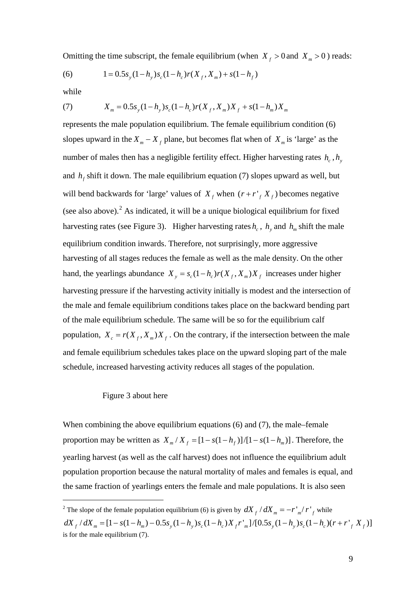Omitting the time subscript, the female equilibrium (when  $X_f > 0$  and  $X_m > 0$ ) reads:

(6) 
$$
1 = 0.5s_y(1 - h_y)s_c(1 - h_c)r(X_f, X_m) + s(1 - h_f)
$$

while

(7) 
$$
X_m = 0.5s_y(1-h_y)s_c(1-h_c)r(X_f, X_m)X_f + s(1-h_m)X_m
$$

represents the male population equilibrium. The female equilibrium condition (6) slopes upward in the  $X_m - X_f$  plane, but becomes flat when of  $X_m$  is 'large' as the number of males then has a negligible fertility effect. Higher harvesting rates  $h_c$ ,  $h_v$ and  $h_f$  shift it down. The male equilibrium equation (7) slopes upward as well, but will bend backwards for 'large' values of  $X_f$  when  $(r + r \cdot K_f)$  becomes negative (see also above). [2](#page-8-0) As indicated, it will be a unique biological equilibrium for fixed *harvesting rates (see Figure 3). Higher harvesting rates*  $h_c$ *,*  $h_y$  *and*  $h_m$  *shift the male* equilibrium condition inwards. Therefore, not surprisingly, more aggressive harvesting of all stages reduces the female as well as the male density. On the other hand, the yearlings abundance  $X_y = s_c (1 - h_c) r(X_f, X_m) X_f$  increases under higher harvesting pressure if the harvesting activity initially is modest and the intersection of the male and female equilibrium conditions takes place on the backward bending part of the male equilibrium schedule. The same will be so for the equilibrium calf population,  $X_c = r(X_f, X_m)X_f$ . On the contrary, if the intersection between the male and female equilibrium schedules takes place on the upward sloping part of the male schedule, increased harvesting activity reduces all stages of the population.

#### Figure 3 about here

When combining the above equilibrium equations (6) and (7), the male–female proportion may be written as  $X_m / X_f = [1 - s(1 - h_f)]/[1 - s(1 - h_m)]$ . Therefore, the yearling harvest (as well as the calf harvest) does not influence the equilibrium adult population proportion because the natural mortality of males and females is equal, and the same fraction of yearlings enters the female and male populations. It is also seen

<span id="page-8-0"></span><sup>&</sup>lt;sup>2</sup> The slope of the female population equilibrium (6) is given by  $dX_f/dX_m = -r'_m/r'_f$  while  $dX_f / dX_m = [1 - s(1 - h_m) - 0.5s_y(1 - h_y)s_c(1 - h_c)X_f r'_m]/[0.5s_y(1 - h_y)s_c(1 - h_c)(r + r'_f X_f)]$ is for the male equilibrium (7).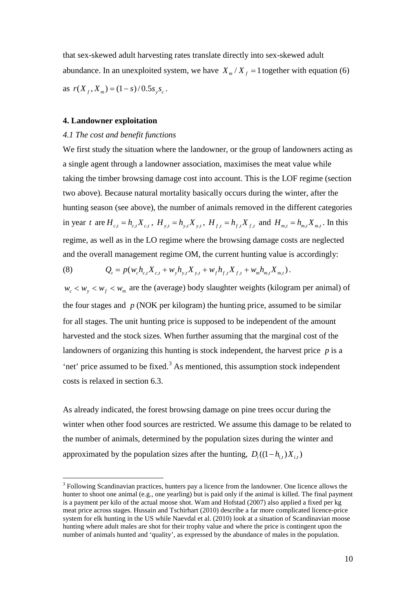that sex-skewed adult harvesting rates translate directly into sex-skewed adult abundance. In an unexploited system, we have  $X_m / X_f = 1$  together with equation (6) as  $r(X_f, X_m) = (1 - s) / 0.5 s_y s_c$ .

### **4. Landowner exploitation**

#### *4.1 The cost and benefit functions*

We first study the situation where the landowner, or the group of landowners acting as a single agent through a landowner association, maximises the meat value while taking the timber browsing damage cost into account. This is the LOF regime (section two above). Because natural mortality basically occurs during the winter, after the hunting season (see above), the number of animals removed in the different categories in year *t* are  $H_{c,t} = h_{c,t} X_{c,t}$ ,  $H_{y,t} = h_{y,t} X_{y,t}$ ,  $H_{f,t} = h_{f,t} X_{f,t}$  and  $H_{m,t} = h_{m,t} X_{m,t}$ . In this regime, as well as in the LO regime where the browsing damage costs are neglected and the overall management regime OM, the current hunting value is accordingly:

(8) 
$$
Q_t = p(w_c h_{c,t} X_{c,t} + w_y h_{y,t} X_{y,t} + w_f h_{f,t} X_{f,t} + w_m h_{m,t} X_{m,t}).
$$

 $w_c < w_y < w_f < w_m$  are the (average) body slaughter weights (kilogram per animal) of the four stages and *p* (NOK per kilogram) the hunting price, assumed to be similar for all stages. The unit hunting price is supposed to be independent of the amount harvested and the stock sizes. When further assuming that the marginal cost of the landowners of organizing this hunting is stock independent, the harvest price *p* is a 'net' price assumed to be fixed. [3](#page-9-0) As mentioned, this assumption stock independent costs is relaxed in section 6.3.

As already indicated, the forest browsing damage on pine trees occur during the winter when other food sources are restricted. We assume this damage to be related to the number of animals, determined by the population sizes during the winter and approximated by the population sizes after the hunting,  $D_i((1 - h_{i,t})X_{i,t})$ 

<span id="page-9-0"></span><sup>&</sup>lt;sup>3</sup> Following Scandinavian practices, hunters pay a licence from the landowner. One licence allows the hunter to shoot one animal (e.g., one yearling) but is paid only if the animal is killed. The final payment is a payment per kilo of the actual moose shot. Wam and Hofstad (2007) also applied a fixed per kg meat price across stages. Hussain and Tschirhart (2010) describe a far more complicated licence-price system for elk hunting in the US while Naevdal et al. (2010) look at a situation of Scandinavian moose hunting where adult males are shot for their trophy value and where the price is contingent upon the number of animals hunted and 'quality', as expressed by the abundance of males in the population.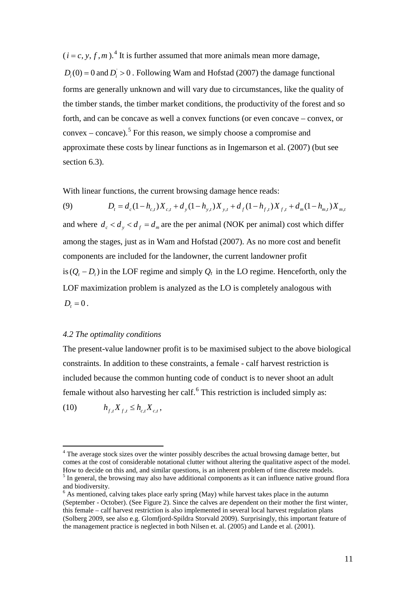$(i = c, y, f, m)$ .<sup>[4](#page-10-0)</sup> It is further assumed that more animals mean more damage,  $D_i(0) = 0$  and  $D_i > 0$ . Following Wam and Hofstad (2007) the damage functional forms are generally unknown and will vary due to circumstances, like the quality of the timber stands, the timber market conditions, the productivity of the forest and so forth, and can be concave as well a convex functions (or even concave – convex, or  $convex - concave$ ).<sup>[5](#page-10-1)</sup> For this reason, we simply choose a compromise and approximate these costs by linear functions as in Ingemarson et al. (2007) (but see section 6.3).

With linear functions, the current browsing damage hence reads:

(9)  $D_t = d_c(1 - h_{c,t})X_{c,t} + d_v(1 - h_{v,t})X_{v,t} + d_v(1 - h_{t,t})X_{f,t} + d_w(1 - h_{m,t})X_{m,t}$ and where  $d_c < d_y < d_f = d_m$  are the per animal (NOK per animal) cost which differ among the stages, just as in Wam and Hofstad (2007). As no more cost and benefit components are included for the landowner, the current landowner profit is  $(Q<sub>t</sub> − D<sub>t</sub>)$  in the LOF regime and simply  $Q<sub>t</sub>$  in the LO regime. Henceforth, only the LOF maximization problem is analyzed as the LO is completely analogous with  $D_t = 0$ .

## *4.2 The optimality conditions*

The present-value landowner profit is to be maximised subject to the above biological constraints. In addition to these constraints, a female - calf harvest restriction is included because the common hunting code of conduct is to never shoot an adult female without also harvesting her calf.<sup>[6](#page-10-2)</sup> This restriction is included simply as:

(10)  $h_{f_t} X_{f_t} \leq h_{cf} X_{cf}$ 

<span id="page-10-0"></span> $4$  The average stock sizes over the winter possibly describes the actual browsing damage better, but comes at the cost of considerable notational clutter without altering the qualitative aspect of the model. How to decide on this and, and similar questions, is an inherent problem of time discrete models. <sup>5</sup> In general, the browsing may also have additional components as it can influence native ground flora and biodiversity.

<span id="page-10-2"></span><span id="page-10-1"></span> $6$  As mentioned, calving takes place early spring (May) while harvest takes place in the autumn (September - October). (See Figure 2). Since the calves are dependent on their mother the first winter, this female – calf harvest restriction is also implemented in several local harvest regulation plans (Solberg 2009, see also e.g. Glomfjord-Spildra Storvald 2009). Surprisingly, this important feature of the management practice is neglected in both Nilsen et. al. (2005) and Lande et al. (2001).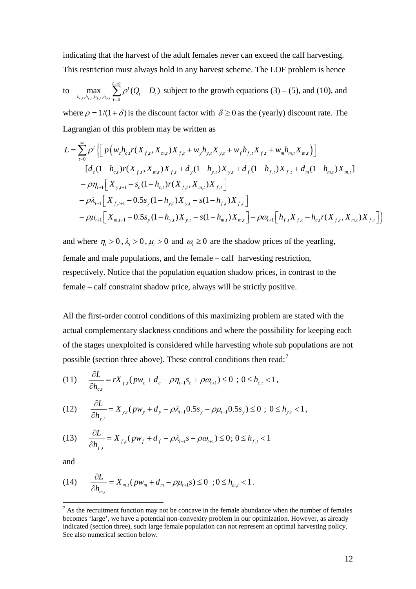indicating that the harvest of the adult females never can exceed the calf harvesting. This restriction must always hold in any harvest scheme. The LOF problem is hence

to 
$$
\max_{h_{c,i}, h_{y,i}, h_{f,i}, h_{m,i}} \sum_{t=0}^{t=\infty} \rho^t (Q_t - D_t)
$$
 subject to the growth equations (3) – (5), and (10), and

where  $\rho = 1/(1 + \delta)$  is the discount factor with  $\delta \ge 0$  as the (yearly) discount rate. The Lagrangian of this problem may be written as

$$
L = \sum_{t=0}^{\infty} \rho^{t} \left\{ \left[ p \left( w_{c} h_{c,t} r(X_{f,t}, X_{m,t}) X_{f,t} + w_{y} h_{y,t} X_{y,t} + w_{f} h_{f,t} X_{f,t} + w_{m} h_{m,t} X_{m,t} \right) \right] - \left[ d_{c} (1 - h_{c,t}) r(X_{f,t}, X_{m,t}) X_{f,t} + d_{y} (1 - h_{y,t}) X_{y,t} + d_{f} (1 - h_{f,t}) X_{f,t} + d_{m} (1 - h_{m,t}) X_{m,t} \right] - \rho \eta_{t+1} \left[ X_{y,t+1} - s_{c} (1 - h_{c,t}) r(X_{f,t}, X_{m,t}) X_{f,t} \right] - \rho \lambda_{t+1} \left[ X_{f,t+1} - 0.5 s_{y} (1 - h_{y,t}) X_{y,t} - s (1 - h_{f,t}) X_{f,t} \right] - \rho \omega_{t+1} \left[ X_{m,t+1} - 0.5 s_{y} (1 - h_{y,t}) X_{y,t} - s (1 - h_{m,t}) X_{m,t} \right] - \rho \omega_{t+1} \left[ h_{f,t} X_{f,t} - h_{c,t} r(X_{f,t}, X_{m,t}) X_{f,t} \right] \right\}
$$

and where  $\eta_t > 0$ ,  $\lambda_t > 0$ ,  $\mu_t > 0$  and  $\omega_t \ge 0$  are the shadow prices of the yearling, female and male populations, and the female – calf harvesting restriction, respectively. Notice that the population equation shadow prices, in contrast to the female – calf constraint shadow price, always will be strictly positive.

All the first-order control conditions of this maximizing problem are stated with the actual complementary slackness conditions and where the possibility for keeping each of the stages unexploited is considered while harvesting whole sub populations are not possible (section three above). These control conditions then read:<sup>[7](#page-11-0)</sup>

(11) 
$$
\frac{\partial L}{\partial h_{c,t}} = rX_{f,t}(pw_c + d_c - \rho \eta_{t+1} s_c + \rho \omega_{t+1}) \leq 0 \; ; \; 0 \leq h_{c,t} < 1,
$$

$$
(12) \qquad \frac{\partial L}{\partial h_{y,t}} = X_{y,t}(p w_y + d_y - \rho \lambda_{t+1} 0.5s_y - \rho \mu_{t+1} 0.5s_y) \leq 0 \, ; \, 0 \leq h_{y,t} < 1 \, ,
$$

(13) 
$$
\frac{\partial L}{\partial h_{f,t}} = X_{f,t}(pw_f + d_f - \rho \lambda_{t+1} s - \rho \omega_{t+1}) \le 0; 0 \le h_{f,t} < 1
$$

and

(14) 
$$
\frac{\partial L}{\partial h_{m,t}} = X_{m,t} (p w_m + d_m - \rho \mu_{t+1} s) \leq 0 \quad ; 0 \leq h_{m,t} < 1.
$$

<span id="page-11-0"></span> $<sup>7</sup>$  As the recruitment function may not be concave in the female abundance when the number of females</sup> becomes 'large', we have a potential non-convexity problem in our optimization. However, as already indicated (section three), such large female population can not represent an optimal harvesting policy. See also numerical section below.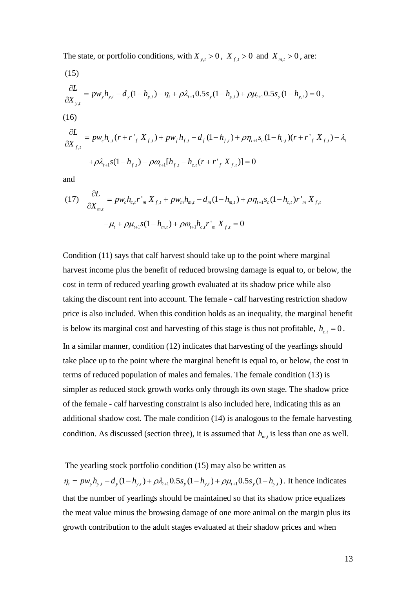The state, or portfolio conditions, with  $X_{y,t} > 0$ ,  $X_{f,t} > 0$  and  $X_{m,t} > 0$ , are:

(15)  
\n
$$
\frac{\partial L}{\partial X_{y,t}} = p w_y h_{y,t} - d_y (1 - h_{y,t}) - \eta_t + \rho \lambda_{t+1} 0.5 s_y (1 - h_{y,t}) + \rho \mu_{t+1} 0.5 s_y (1 - h_{y,t}) = 0,
$$
\n(16)  
\n
$$
\frac{\partial L}{\partial X_{f,t}} = p w_c h_{c,t} (r + r'_{f} X_{f,t}) + p w_f h_{f,t} - d_f (1 - h_{f,t}) + \rho \eta_{t+1} s_c (1 - h_{c,t}) (r + r'_{f} X_{f,t}) - \lambda_t
$$
\n
$$
+ \rho \lambda_{t+1} s (1 - h_{f,t}) - \rho \omega_{t+1} [h_{f,t} - h_{c,t} (r + r'_{f} X_{f,t})] = 0
$$

and

(17) 
$$
\frac{\partial L}{\partial X_{m,t}} = p w_c h_{c,t} r'_{m} X_{f,t} + p w_m h_{m,t} - d_m (1 - h_{m,t}) + \rho \eta_{t+1} s_c (1 - h_{c,t}) r'_{m} X_{f,t}
$$

$$
- \mu_t + \rho \mu_{t+1} s (1 - h_{m,t}) + \rho \omega_{t+1} h_{c,t} r'_{m} X_{f,t} = 0
$$

Condition (11) says that calf harvest should take up to the point where marginal harvest income plus the benefit of reduced browsing damage is equal to, or below, the cost in term of reduced yearling growth evaluated at its shadow price while also taking the discount rent into account. The female - calf harvesting restriction shadow price is also included. When this condition holds as an inequality, the marginal benefit is below its marginal cost and harvesting of this stage is thus not profitable,  $h_{c,t} = 0$ . In a similar manner, condition (12) indicates that harvesting of the yearlings should take place up to the point where the marginal benefit is equal to, or below, the cost in terms of reduced population of males and females. The female condition (13) is simpler as reduced stock growth works only through its own stage. The shadow price of the female - calf harvesting constraint is also included here, indicating this as an additional shadow cost. The male condition (14) is analogous to the female harvesting condition. As discussed (section three), it is assumed that  $h_{m,t}$  is less than one as well.

The yearling stock portfolio condition (15) may also be written as

 $\eta_t = p w_y h_{y,t} - d_y (1 - h_{y,t}) + \rho \lambda_{t+1} 0.5 s_y (1 - h_{y,t}) + \rho \mu_{t+1} 0.5 s_y (1 - h_{y,t})$ . It hence indicates that the number of yearlings should be maintained so that its shadow price equalizes the meat value minus the browsing damage of one more animal on the margin plus its growth contribution to the adult stages evaluated at their shadow prices and when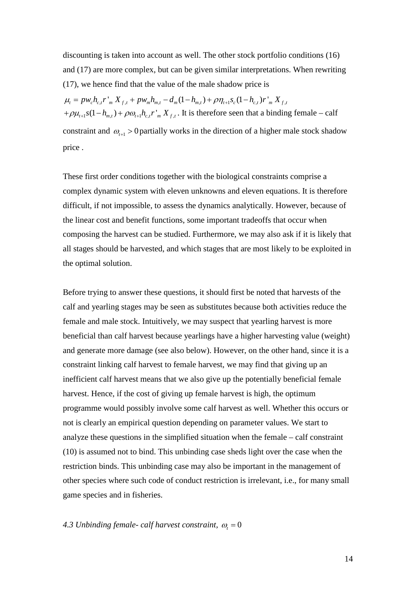discounting is taken into account as well. The other stock portfolio conditions (16) and (17) are more complex, but can be given similar interpretations. When rewriting (17), we hence find that the value of the male shadow price is

 $\mu_t = p w_c h_{c,t} r'_{m} X_{f,t} + p w_m h_{m,t} - d_m (1 - h_{m,t}) + \rho \eta_{t+1} s_c (1 - h_{c,t}) r'_{m} X_{f,t}$  $+\rho\mu_{t+1} s(1-h_{m,t}) + \rho\omega_{t+1} h_{c,t} r_{m} X_{t,t}$ . It is therefore seen that a binding female – calf constraint and  $\omega_{t+1} > 0$  partially works in the direction of a higher male stock shadow price .

These first order conditions together with the biological constraints comprise a complex dynamic system with eleven unknowns and eleven equations. It is therefore difficult, if not impossible, to assess the dynamics analytically. However, because of the linear cost and benefit functions, some important tradeoffs that occur when composing the harvest can be studied. Furthermore, we may also ask if it is likely that all stages should be harvested, and which stages that are most likely to be exploited in the optimal solution.

Before trying to answer these questions, it should first be noted that harvests of the calf and yearling stages may be seen as substitutes because both activities reduce the female and male stock. Intuitively, we may suspect that yearling harvest is more beneficial than calf harvest because yearlings have a higher harvesting value (weight) and generate more damage (see also below). However, on the other hand, since it is a constraint linking calf harvest to female harvest, we may find that giving up an inefficient calf harvest means that we also give up the potentially beneficial female harvest. Hence, if the cost of giving up female harvest is high, the optimum programme would possibly involve some calf harvest as well. Whether this occurs or not is clearly an empirical question depending on parameter values. We start to analyze these questions in the simplified situation when the female – calf constraint (10) is assumed not to bind. This unbinding case sheds light over the case when the restriction binds. This unbinding case may also be important in the management of other species where such code of conduct restriction is irrelevant, i.e., for many small game species and in fisheries.

## 4.3 Unbinding female- *calf harvest constraint,*  $\omega_t = 0$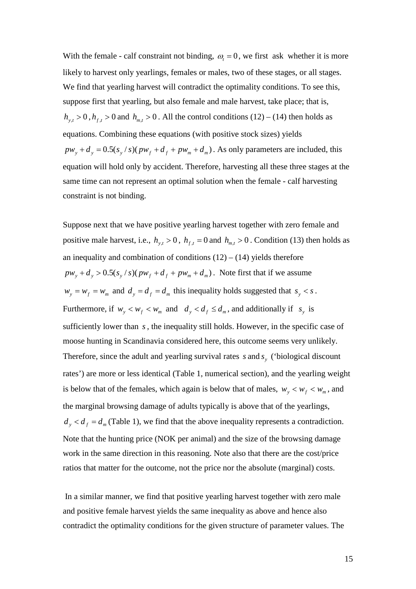With the female - calf constraint not binding,  $\omega_t = 0$ , we first ask whether it is more likely to harvest only yearlings, females or males, two of these stages, or all stages. We find that yearling harvest will contradict the optimality conditions. To see this, suppose first that yearling, but also female and male harvest, take place; that is,  $h_{y,t} > 0$ ,  $h_{f,t} > 0$  and  $h_{m,t} > 0$ . All the control conditions (12) – (14) then holds as equations. Combining these equations (with positive stock sizes) yields  $pw_y + d_y = 0.5(s_y / s)(pw_f + d_f + pw_m + d_m)$ . As only parameters are included, this equation will hold only by accident. Therefore, harvesting all these three stages at the same time can not represent an optimal solution when the female - calf harvesting constraint is not binding.

Suppose next that we have positive yearling harvest together with zero female and positive male harvest, i.e.,  $h_{v,t} > 0$ ,  $h_{f,t} = 0$  and  $h_{m,t} > 0$ . Condition (13) then holds as an inequality and combination of conditions  $(12) - (14)$  yields therefore  $pw_v + d_v > 0.5(s_v / s)(pw_f + d_f + pw_m + d_m)$ . Note first that if we assume  $w_y = w_f = w_m$  and  $d_y = d_f = d_m$  this inequality holds suggested that  $s_y < s$ . Furthermore, if  $w_v < w_f < w_m$  and  $d_v < d_f \leq d_m$ , and additionally if  $s_v$  is sufficiently lower than *s*, the inequality still holds. However, in the specific case of moose hunting in Scandinavia considered here, this outcome seems very unlikely. Therefore, since the adult and yearling survival rates *s* and *s*<sub>*x*</sub> ('biological discount rates') are more or less identical (Table 1, numerical section), and the yearling weight is below that of the females, which again is below that of males,  $w_y < w_f < w_m$ , and the marginal browsing damage of adults typically is above that of the yearlings,  $d_y < d_f = d_m$  (Table 1), we find that the above inequality represents a contradiction. Note that the hunting price (NOK per animal) and the size of the browsing damage work in the same direction in this reasoning. Note also that there are the cost/price ratios that matter for the outcome, not the price nor the absolute (marginal) costs.

In a similar manner, we find that positive yearling harvest together with zero male and positive female harvest yields the same inequality as above and hence also contradict the optimality conditions for the given structure of parameter values. The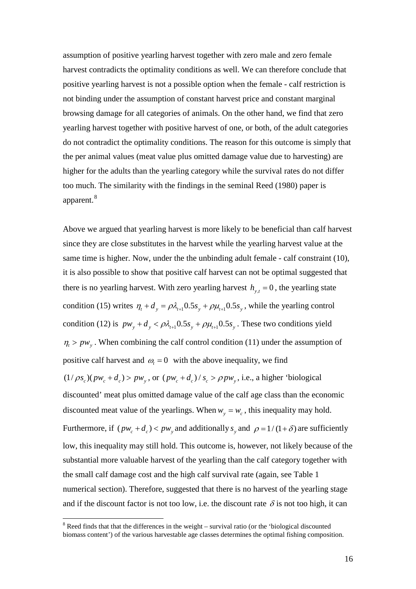assumption of positive yearling harvest together with zero male and zero female harvest contradicts the optimality conditions as well. We can therefore conclude that positive yearling harvest is not a possible option when the female - calf restriction is not binding under the assumption of constant harvest price and constant marginal browsing damage for all categories of animals. On the other hand, we find that zero yearling harvest together with positive harvest of one, or both, of the adult categories do not contradict the optimality conditions. The reason for this outcome is simply that the per animal values (meat value plus omitted damage value due to harvesting) are higher for the adults than the yearling category while the survival rates do not differ too much. The similarity with the findings in the seminal Reed (1980) paper is apparent.<sup>[8](#page-15-0)</sup>

Above we argued that yearling harvest is more likely to be beneficial than calf harvest since they are close substitutes in the harvest while the yearling harvest value at the same time is higher. Now, under the the unbinding adult female - calf constraint (10), it is also possible to show that positive calf harvest can not be optimal suggested that there is no yearling harvest. With zero yearling harvest  $h_{v,t} = 0$ , the yearling state condition (15) writes  $\eta_t + d_y = \rho \lambda_{t+1} 0.5 s_y + \rho \mu_{t+1} 0.5 s_y$ , while the yearling control condition (12) is  $p w_y + d_y < \rho \lambda_{t+1} 0.5 s_y + \rho \mu_{t+1} 0.5 s_y$ . These two conditions yield  $\eta_t > pw_y$ . When combining the calf control condition (11) under the assumption of positive calf harvest and  $\omega_t = 0$  with the above inequality, we find  $(1/\rho s_c)(p w_c + d_c)$  >  $p w_v$ , or  $(p w_c + d_c)/s_c$  >  $\rho p w_v$ , i.e., a higher 'biological discounted' meat plus omitted damage value of the calf age class than the economic discounted meat value of the yearlings. When  $w_y = w_c$ , this inequality may hold. Furthermore, if  $(pw_c + d_c) < pw_y$  and additionally  $s_y$  and  $\rho = 1/(1+\delta)$  are sufficiently low, this inequality may still hold. This outcome is, however, not likely because of the substantial more valuable harvest of the yearling than the calf category together with the small calf damage cost and the high calf survival rate (again, see Table 1 numerical section). Therefore, suggested that there is no harvest of the yearling stage and if the discount factor is not too low, i.e. the discount rate  $\delta$  is not too high, it can

<span id="page-15-0"></span><sup>&</sup>lt;sup>8</sup> Reed finds that that the differences in the weight – survival ratio (or the 'biological discounted biomass content') of the various harvestable age classes determines the optimal fishing composition.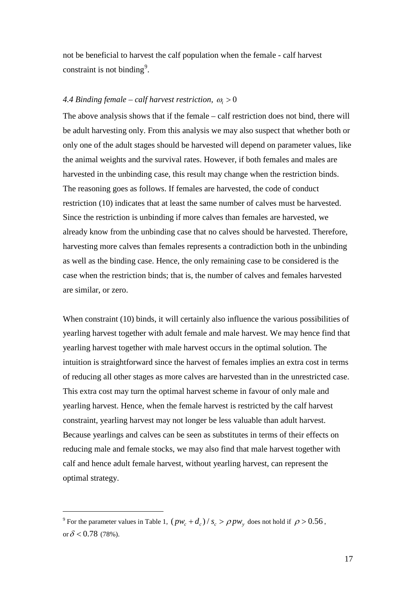not be beneficial to harvest the calf population when the female - calf harvest constraint is not binding<sup>[9](#page-16-0)</sup>.

## *4.4 Binding female – calf harvest restriction,*  $\omega_t > 0$

The above analysis shows that if the female – calf restriction does not bind, there will be adult harvesting only. From this analysis we may also suspect that whether both or only one of the adult stages should be harvested will depend on parameter values, like the animal weights and the survival rates. However, if both females and males are harvested in the unbinding case, this result may change when the restriction binds. The reasoning goes as follows. If females are harvested, the code of conduct restriction (10) indicates that at least the same number of calves must be harvested. Since the restriction is unbinding if more calves than females are harvested, we already know from the unbinding case that no calves should be harvested. Therefore, harvesting more calves than females represents a contradiction both in the unbinding as well as the binding case. Hence, the only remaining case to be considered is the case when the restriction binds; that is, the number of calves and females harvested are similar, or zero.

When constraint (10) binds, it will certainly also influence the various possibilities of yearling harvest together with adult female and male harvest. We may hence find that yearling harvest together with male harvest occurs in the optimal solution. The intuition is straightforward since the harvest of females implies an extra cost in terms of reducing all other stages as more calves are harvested than in the unrestricted case. This extra cost may turn the optimal harvest scheme in favour of only male and yearling harvest. Hence, when the female harvest is restricted by the calf harvest constraint, yearling harvest may not longer be less valuable than adult harvest. Because yearlings and calves can be seen as substitutes in terms of their effects on reducing male and female stocks, we may also find that male harvest together with calf and hence adult female harvest, without yearling harvest, can represent the optimal strategy.

<span id="page-16-0"></span><sup>&</sup>lt;sup>9</sup> For the parameter values in Table 1,  $(pw_c + d_c)/s_c > \rho pw_v$ , does not hold if  $\rho > 0.56$ , or  $\delta$  < 0.78 (78%).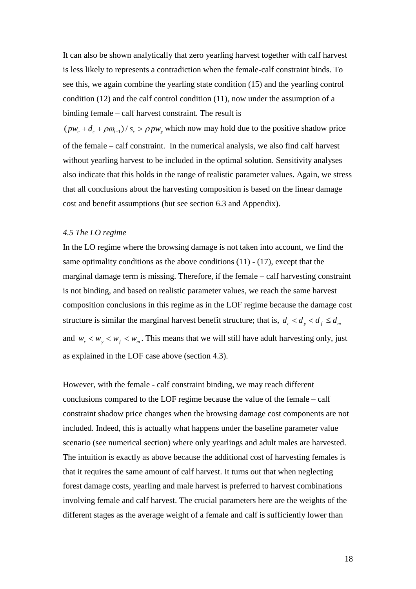It can also be shown analytically that zero yearling harvest together with calf harvest is less likely to represents a contradiction when the female-calf constraint binds. To see this, we again combine the yearling state condition (15) and the yearling control condition (12) and the calf control condition (11), now under the assumption of a binding female – calf harvest constraint. The result is

 $(pw_c + d_c + \rho \omega_{t+1})/s_c > \rho pw_v$  which now may hold due to the positive shadow price of the female – calf constraint. In the numerical analysis, we also find calf harvest without yearling harvest to be included in the optimal solution. Sensitivity analyses also indicate that this holds in the range of realistic parameter values. Again, we stress that all conclusions about the harvesting composition is based on the linear damage cost and benefit assumptions (but see section 6.3 and Appendix).

### *4.5 The LO regime*

In the LO regime where the browsing damage is not taken into account, we find the same optimality conditions as the above conditions  $(11) - (17)$ , except that the marginal damage term is missing. Therefore, if the female – calf harvesting constraint is not binding, and based on realistic parameter values, we reach the same harvest composition conclusions in this regime as in the LOF regime because the damage cost structure is similar the marginal harvest benefit structure; that is,  $d_c < d_y < d_f \leq d_m$ and  $w_c < w_y < w_f < w_m$ . This means that we will still have adult harvesting only, just as explained in the LOF case above (section 4.3).

However, with the female - calf constraint binding, we may reach different conclusions compared to the LOF regime because the value of the female – calf constraint shadow price changes when the browsing damage cost components are not included. Indeed, this is actually what happens under the baseline parameter value scenario (see numerical section) where only yearlings and adult males are harvested. The intuition is exactly as above because the additional cost of harvesting females is that it requires the same amount of calf harvest. It turns out that when neglecting forest damage costs, yearling and male harvest is preferred to harvest combinations involving female and calf harvest. The crucial parameters here are the weights of the different stages as the average weight of a female and calf is sufficiently lower than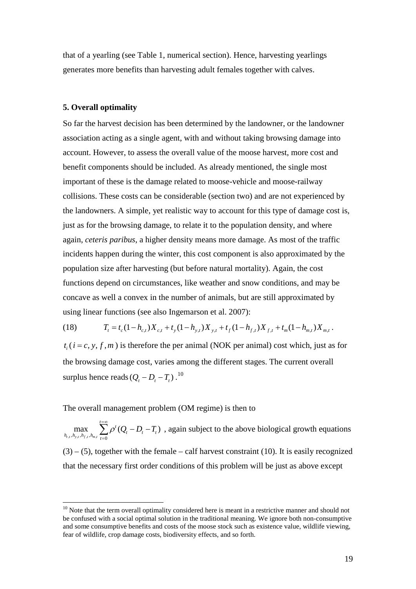that of a yearling (see Table 1, numerical section). Hence, harvesting yearlings generates more benefits than harvesting adult females together with calves.

### **5. Overall optimality**

So far the harvest decision has been determined by the landowner, or the landowner association acting as a single agent, with and without taking browsing damage into account. However, to assess the overall value of the moose harvest, more cost and benefit components should be included. As already mentioned, the single most important of these is the damage related to moose-vehicle and moose-railway collisions. These costs can be considerable (section two) and are not experienced by the landowners. A simple, yet realistic way to account for this type of damage cost is, just as for the browsing damage, to relate it to the population density, and where again, *ceteris paribus*, a higher density means more damage. As most of the traffic incidents happen during the winter, this cost component is also approximated by the population size after harvesting (but before natural mortality). Again, the cost functions depend on circumstances, like weather and snow conditions, and may be concave as well a convex in the number of animals, but are still approximated by using linear functions (see also Ingemarson et al. 2007):

(18)  $T_t = t_c(1 - h_{c,t})X_{ct} + t_v(1 - h_{v,t})X_{vt} + t_f(1 - h_{t,t})X_{ft} + t_m(1 - h_{m,t})X_{mt}$ 

 $t_i$  ( $i = c, y, f, m$ ) is therefore the per animal (NOK per animal) cost which, just as for the browsing damage cost, varies among the different stages. The current overall surplus hence reads  $(Q_t - D_t - T_t)$ .<sup>[10](#page-18-0)</sup>

The overall management problem (OM regime) is then to

 $, h_{y,t}, h_{f,t}, h_{m,t}$  $\max_{(c_t, h_{y,t}, h_{f,t}, h_{m,t})} \sum_{t=0}^{\infty} \rho^t (Q_t - D_t - T_t)$  $\sum_{t=\infty}^{t=\infty}$  $\max_{h_{c,t}, h_{y,t}, h_{f,t}, h_{m,t}} \sum_{t=0}^{\infty} \rho^t (Q_t - D_t - T_t)$ =∞  $\sum_{t=0}^{\infty} \rho^{t} (Q_{t} - D_{t} - T_{t})$ , again subject to the above biological growth equations  $(3) - (5)$ , together with the female – calf harvest constraint (10). It is easily recognized that the necessary first order conditions of this problem will be just as above except

<span id="page-18-0"></span> $10$  Note that the term overall optimality considered here is meant in a restrictive manner and should not be confused with a social optimal solution in the traditional meaning. We ignore both non-consumptive and some consumptive benefits and costs of the moose stock such as existence value, wildlife viewing, fear of wildlife, crop damage costs, biodiversity effects, and so forth.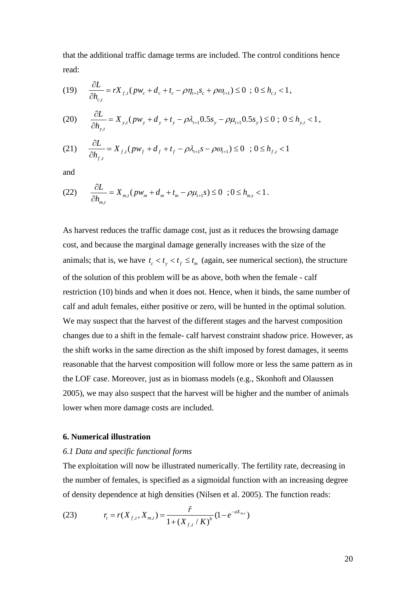that the additional traffic damage terms are included. The control conditions hence read:

(19) 
$$
\frac{\partial L}{\partial h_{c,t}} = rX_{f,t}(pw_c + d_c + t_c - \rho \eta_{t+1} s_c + \rho \omega_{t+1}) \leq 0 \; ; \; 0 \leq h_{c,t} < 1,
$$

$$
(20) \qquad \frac{\partial L}{\partial h_{y,t}} = X_{y,t} (p w_y + d_y + t_y - \rho \lambda_{t+1} 0.5 s_y - \rho \mu_{t+1} 0.5 s_y) \leq 0 \; ; \; 0 \leq h_{y,t} < 1 \,,
$$

(21) 
$$
\frac{\partial L}{\partial h_{f,t}} = X_{f,t}(pw_f + d_f + t_f - \rho \lambda_{t+1} s - \rho \omega_{t+1}) \le 0 \quad ; \, 0 \le h_{f,t} < 1
$$

and

$$
(22) \qquad \frac{\partial L}{\partial h_{m,t}} = X_{m,t} (p w_m + d_m + t_m - \rho \mu_{t+1} s) \leq 0 \quad ; 0 \leq h_{m,t} < 1.
$$

As harvest reduces the traffic damage cost, just as it reduces the browsing damage cost, and because the marginal damage generally increases with the size of the animals; that is, we have  $t_c < t_y < t_f \leq t_m$  (again, see numerical section), the structure of the solution of this problem will be as above, both when the female - calf restriction (10) binds and when it does not. Hence, when it binds, the same number of calf and adult females, either positive or zero, will be hunted in the optimal solution. We may suspect that the harvest of the different stages and the harvest composition changes due to a shift in the female- calf harvest constraint shadow price. However, as the shift works in the same direction as the shift imposed by forest damages, it seems reasonable that the harvest composition will follow more or less the same pattern as in the LOF case. Moreover, just as in biomass models (e.g., Skonhoft and Olaussen 2005), we may also suspect that the harvest will be higher and the number of animals lower when more damage costs are included.

#### **6. Numerical illustration**

### *6.1 Data and specific functional forms*

The exploitation will now be illustrated numerically. The fertility rate, decreasing in the number of females, is specified as a sigmoidal function with an increasing degree of density dependence at high densities (Nilsen et al. 2005). The function reads:

(23) 
$$
r_{t} = r(X_{f,t}, X_{m,t}) = \frac{\tilde{r}}{1 + (X_{f,t} / K)^{b}} (1 - e^{-aX_{m,t}})
$$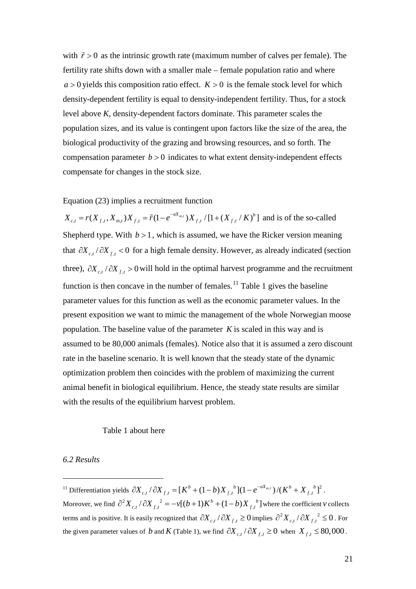with  $\tilde{r} > 0$  as the intrinsic growth rate (maximum number of calves per female). The fertility rate shifts down with a smaller male – female population ratio and where  $a > 0$  yields this composition ratio effect.  $K > 0$  is the female stock level for which density-dependent fertility is equal to density-independent fertility. Thus, for a stock level above *K*, density-dependent factors dominate. This parameter scales the population sizes, and its value is contingent upon factors like the size of the area, the biological productivity of the grazing and browsing resources, and so forth. The compensation parameter  $b > 0$  indicates to what extent density-independent effects compensate for changes in the stock size.

Equation (23) implies a recruitment function

 $X_{c,t} = r(X_{f,t}, X_{m,t})X_{f,t} = \tilde{r}(1 - e^{-aX_{m,t}})X_{f,t}/[1 + (X_{f,t}/K)^b]$  and is of the so-called Shepherd type. With  $b > 1$ , which is assumed, we have the Ricker version meaning that  $\partial X_{ct}$  /  $\partial X_{ft}$  < 0 for a high female density. However, as already indicated (section three),  $\partial X_{c,t}/\partial X_{f,t} > 0$  will hold in the optimal harvest programme and the recruitment function is then concave in the number of females.<sup>[11](#page-20-0)</sup> Table 1 gives the baseline population. The baseline value of the parameter  $K$  is scaled in this way and is parameter values for this function as well as the economic parameter values. In the present exposition we want to mimic the management of the whole Norwegian moose assumed to be 80,000 animals (females). Notice also that it is assumed a zero discount rate in the baseline scenario. It is well known that the steady state of the dynamic optimization problem then coincides with the problem of maximizing the current animal benefit in biological equilibrium. Hence, the steady state results are similar with the results of the equilibrium harvest problem.

## Table 1 about here

### *6.2 Results*

<u>.</u>

<span id="page-20-0"></span><sup>11</sup> Differentiation yields  $\partial X_{c,t} / \partial X_{f,t} = [K^b + (1-b)X_{f,t}^b](1-e^{-aX_{m,t}})/(K^b + X_{f,t}^b)^2$ . Moreover, we find  $\partial^2 X_{c,t}/\partial X_{f,t}^2 = -v[(b+1)K^b + (1-b)X_{f,t}^b]$  where the coefficient *v* collects terms and is positive. It is easily recognized that  $\partial X_{c,t}/\partial X_{f,t} \ge 0$  implies  $\partial^2 X_{c,t}/\partial X_{f,t}^2 \le 0$ . For the given parameter values of *b* and *K* (Table 1), we find  $\partial X_c$  /  $\partial X_f$  ≥ 0 when  $X_f$  ≤ 80,000.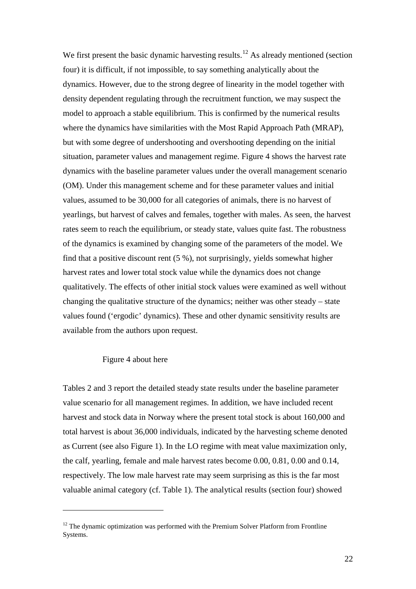We first present the basic dynamic harvesting results.<sup>[12](#page-21-0)</sup> As already mentioned (section four) it is difficult, if not impossible, to say something analytically about the dynamics. However, due to the strong degree of linearity in the model together with density dependent regulating through the recruitment function, we may suspect the model to approach a stable equilibrium. This is confirmed by the numerical results where the dynamics have similarities with the Most Rapid Approach Path (MRAP), but with some degree of undershooting and overshooting depending on the initial situation, parameter values and management regime. Figure 4 shows the harvest rate dynamics with the baseline parameter values under the overall management scenario (OM). Under this management scheme and for these parameter values and initial values, assumed to be 30,000 for all categories of animals, there is no harvest of yearlings, but harvest of calves and females, together with males. As seen, the harvest rates seem to reach the equilibrium, or steady state, values quite fast. The robustness of the dynamics is examined by changing some of the parameters of the model. We find that a positive discount rent (5 %), not surprisingly, yields somewhat higher harvest rates and lower total stock value while the dynamics does not change qualitatively. The effects of other initial stock values were examined as well without changing the qualitative structure of the dynamics; neither was other steady – state values found ('ergodic' dynamics). These and other dynamic sensitivity results are available from the authors upon request.

## Figure 4 about here

-

Tables 2 and 3 report the detailed steady state results under the baseline parameter value scenario for all management regimes. In addition, we have included recent harvest and stock data in Norway where the present total stock is about 160,000 and total harvest is about 36,000 individuals, indicated by the harvesting scheme denoted as Current (see also Figure 1). In the LO regime with meat value maximization only, the calf, yearling, female and male harvest rates become 0.00, 0.81, 0.00 and 0.14, respectively. The low male harvest rate may seem surprising as this is the far most valuable animal category (cf. Table 1). The analytical results (section four) showed

<span id="page-21-0"></span> $12$  The dynamic optimization was performed with the Premium Solver Platform from Frontline Systems.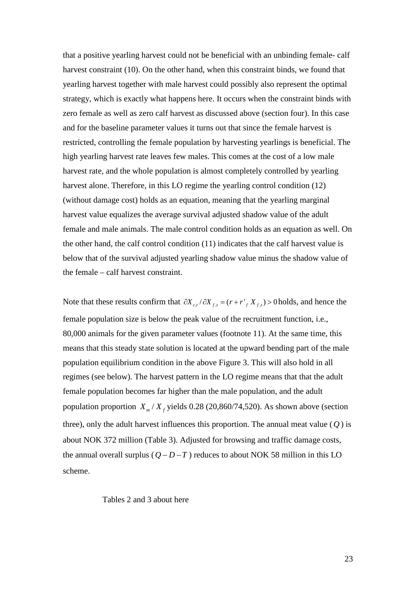that a positive yearling harvest could not be beneficial with an unbinding female- calf harvest constraint (10). On the other hand, when this constraint binds, we found that yearling harvest together with male harvest could possibly also represent the optimal strategy, which is exactly what happens here. It occurs when the constraint binds with zero female as well as zero calf harvest as discussed above (section four). In this case and for the baseline parameter values it turns out that since the female harvest is restricted, controlling the female population by harvesting yearlings is beneficial. The high yearling harvest rate leaves few males. This comes at the cost of a low male harvest rate, and the whole population is almost completely controlled by yearling harvest alone. Therefore, in this LO regime the yearling control condition (12) (without damage cost) holds as an equation, meaning that the yearling marginal harvest value equalizes the average survival adjusted shadow value of the adult female and male animals. The male control condition holds as an equation as well. On the other hand, the calf control condition (11) indicates that the calf harvest value is below that of the survival adjusted yearling shadow value minus the shadow value of the female – calf harvest constraint.

Note that these results confirm that  $\partial X_{c,t}/\partial X_{f,t} = (r + r)_{f} X_{f,t} > 0$  holds, and hence the female population size is below the peak value of the recruitment function, i.e., 80,000 animals for the given parameter values (footnote 11). At the same time, this means that this steady state solution is located at the upward bending part of the male population equilibrium condition in the above Figure 3. This will also hold in all regimes (see below). The harvest pattern in the LO regime means that that the adult female population becomes far higher than the male population, and the adult population proportion  $X_m / X_f$  yields 0.28 (20,860/74,520). As shown above (section three), only the adult harvest influences this proportion. The annual meat value  $(Q)$  is about NOK 372 million (Table 3). Adjusted for browsing and traffic damage costs, the annual overall surplus  $(Q - D - T)$  reduces to about NOK 58 million in this LO scheme.

### Tables 2 and 3 about here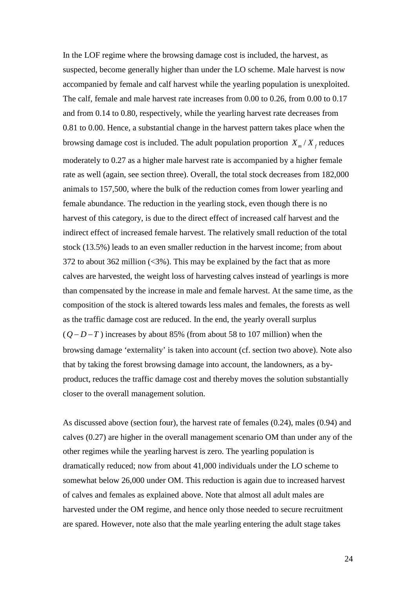In the LOF regime where the browsing damage cost is included, the harvest, as suspected, become generally higher than under the LO scheme. Male harvest is now accompanied by female and calf harvest while the yearling population is unexploited. The calf, female and male harvest rate increases from 0.00 to 0.26, from 0.00 to 0.17 and from 0.14 to 0.80, respectively, while the yearling harvest rate decreases from 0.81 to 0.00. Hence, a substantial change in the harvest pattern takes place when the browsing damage cost is included. The adult population proportion  $X_m / X_f$  reduces moderately to 0.27 as a higher male harvest rate is accompanied by a higher female rate as well (again, see section three). Overall, the total stock decreases from 182,000 animals to 157,500, where the bulk of the reduction comes from lower yearling and female abundance. The reduction in the yearling stock, even though there is no harvest of this category, is due to the direct effect of increased calf harvest and the indirect effect of increased female harvest. The relatively small reduction of the total stock (13.5%) leads to an even smaller reduction in the harvest income; from about 372 to about 362 million  $\langle 3\% \rangle$ . This may be explained by the fact that as more calves are harvested, the weight loss of harvesting calves instead of yearlings is more than compensated by the increase in male and female harvest. At the same time, as the composition of the stock is altered towards less males and females, the forests as well as the traffic damage cost are reduced. In the end, the yearly overall surplus  $(Q-D-T)$  increases by about 85% (from about 58 to 107 million) when the browsing damage 'externality' is taken into account (cf. section two above). Note also that by taking the forest browsing damage into account, the landowners, as a byproduct, reduces the traffic damage cost and thereby moves the solution substantially closer to the overall management solution.

As discussed above (section four), the harvest rate of females (0.24), males (0.94) and calves (0.27) are higher in the overall management scenario OM than under any of the other regimes while the yearling harvest is zero. The yearling population is dramatically reduced; now from about 41,000 individuals under the LO scheme to somewhat below 26,000 under OM. This reduction is again due to increased harvest of calves and females as explained above. Note that almost all adult males are harvested under the OM regime, and hence only those needed to secure recruitment are spared. However, note also that the male yearling entering the adult stage takes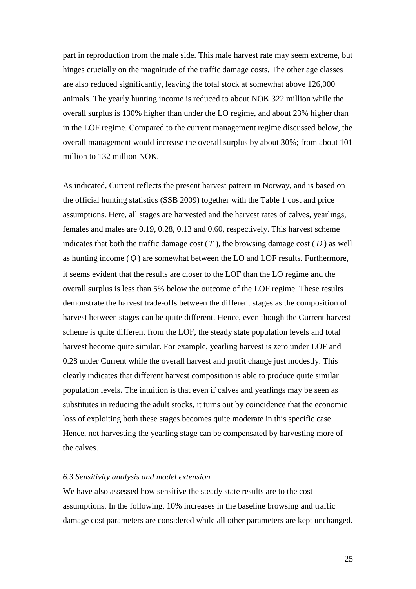part in reproduction from the male side. This male harvest rate may seem extreme, but hinges crucially on the magnitude of the traffic damage costs. The other age classes are also reduced significantly, leaving the total stock at somewhat above 126,000 animals. The yearly hunting income is reduced to about NOK 322 million while the overall surplus is 130% higher than under the LO regime, and about 23% higher than in the LOF regime. Compared to the current management regime discussed below, the overall management would increase the overall surplus by about 30%; from about 101 million to 132 million NOK.

As indicated, Current reflects the present harvest pattern in Norway, and is based on the official hunting statistics (SSB 2009) together with the Table 1 cost and price assumptions. Here, all stages are harvested and the harvest rates of calves, yearlings, females and males are 0.19, 0.28, 0.13 and 0.60, respectively. This harvest scheme indicates that both the traffic damage cost  $(T)$ , the browsing damage cost  $(D)$  as well as hunting income (*Q* ) are somewhat between the LO and LOF results. Furthermore, it seems evident that the results are closer to the LOF than the LO regime and the overall surplus is less than 5% below the outcome of the LOF regime. These results demonstrate the harvest trade-offs between the different stages as the composition of harvest between stages can be quite different. Hence, even though the Current harvest scheme is quite different from the LOF, the steady state population levels and total harvest become quite similar. For example, yearling harvest is zero under LOF and 0.28 under Current while the overall harvest and profit change just modestly. This clearly indicates that different harvest composition is able to produce quite similar population levels. The intuition is that even if calves and yearlings may be seen as substitutes in reducing the adult stocks, it turns out by coincidence that the economic loss of exploiting both these stages becomes quite moderate in this specific case. Hence, not harvesting the yearling stage can be compensated by harvesting more of the calves.

#### *6.3 Sensitivity analysis and model extension*

We have also assessed how sensitive the steady state results are to the cost assumptions. In the following, 10% increases in the baseline browsing and traffic damage cost parameters are considered while all other parameters are kept unchanged.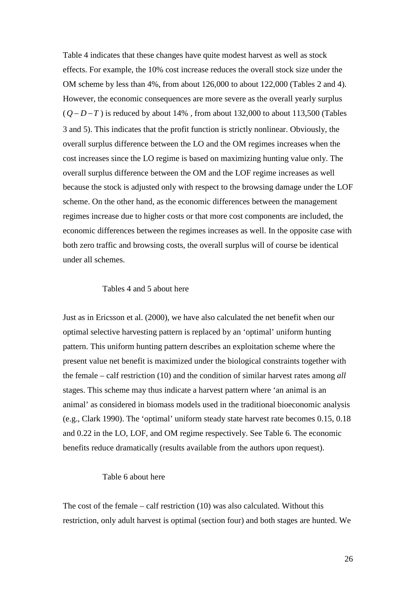Table 4 indicates that these changes have quite modest harvest as well as stock effects. For example, the 10% cost increase reduces the overall stock size under the OM scheme by less than 4%, from about 126,000 to about 122,000 (Tables 2 and 4). However, the economic consequences are more severe as the overall yearly surplus  $(Q-D-T)$  is reduced by about 14%, from about 132,000 to about 113,500 (Tables 3 and 5). This indicates that the profit function is strictly nonlinear. Obviously, the overall surplus difference between the LO and the OM regimes increases when the cost increases since the LO regime is based on maximizing hunting value only. The overall surplus difference between the OM and the LOF regime increases as well because the stock is adjusted only with respect to the browsing damage under the LOF scheme. On the other hand, as the economic differences between the management regimes increase due to higher costs or that more cost components are included, the economic differences between the regimes increases as well. In the opposite case with both zero traffic and browsing costs, the overall surplus will of course be identical under all schemes.

## Tables 4 and 5 about here

Just as in Ericsson et al. (2000), we have also calculated the net benefit when our optimal selective harvesting pattern is replaced by an 'optimal' uniform hunting pattern. This uniform hunting pattern describes an exploitation scheme where the present value net benefit is maximized under the biological constraints together with the female – calf restriction (10) and the condition of similar harvest rates among *all* stages. This scheme may thus indicate a harvest pattern where 'an animal is an animal' as considered in biomass models used in the traditional bioeconomic analysis (e.g., Clark 1990). The 'optimal' uniform steady state harvest rate becomes 0.15, 0.18 and 0.22 in the LO, LOF, and OM regime respectively. See Table 6. The economic benefits reduce dramatically (results available from the authors upon request).

## Table 6 about here

The cost of the female – calf restriction (10) was also calculated. Without this restriction, only adult harvest is optimal (section four) and both stages are hunted. We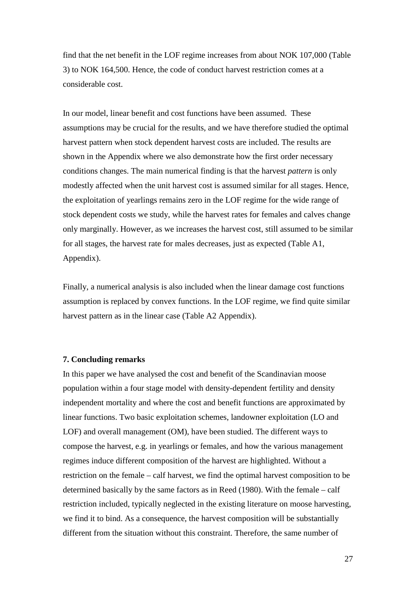find that the net benefit in the LOF regime increases from about NOK 107,000 (Table 3) to NOK 164,500. Hence, the code of conduct harvest restriction comes at a considerable cost.

In our model, linear benefit and cost functions have been assumed. These assumptions may be crucial for the results, and we have therefore studied the optimal harvest pattern when stock dependent harvest costs are included. The results are shown in the Appendix where we also demonstrate how the first order necessary conditions changes. The main numerical finding is that the harvest *pattern* is only modestly affected when the unit harvest cost is assumed similar for all stages. Hence, the exploitation of yearlings remains zero in the LOF regime for the wide range of stock dependent costs we study, while the harvest rates for females and calves change only marginally. However, as we increases the harvest cost, still assumed to be similar for all stages, the harvest rate for males decreases, just as expected (Table A1, Appendix).

Finally, a numerical analysis is also included when the linear damage cost functions assumption is replaced by convex functions. In the LOF regime, we find quite similar harvest pattern as in the linear case (Table A2 Appendix).

### **7. Concluding remarks**

In this paper we have analysed the cost and benefit of the Scandinavian moose population within a four stage model with density-dependent fertility and density independent mortality and where the cost and benefit functions are approximated by linear functions. Two basic exploitation schemes, landowner exploitation (LO and LOF) and overall management (OM), have been studied. The different ways to compose the harvest, e.g. in yearlings or females, and how the various management regimes induce different composition of the harvest are highlighted. Without a restriction on the female – calf harvest, we find the optimal harvest composition to be determined basically by the same factors as in Reed (1980). With the female – calf restriction included, typically neglected in the existing literature on moose harvesting, we find it to bind. As a consequence, the harvest composition will be substantially different from the situation without this constraint. Therefore, the same number of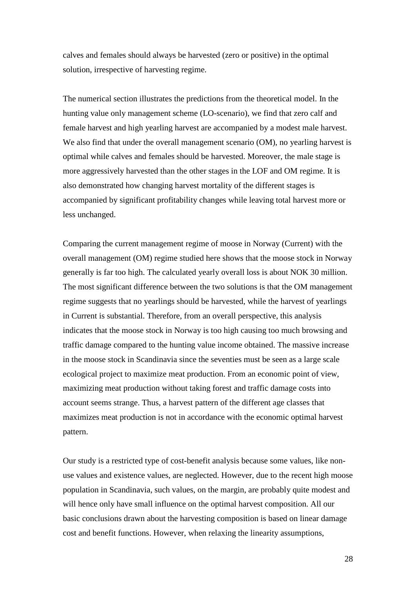calves and females should always be harvested (zero or positive) in the optimal solution, irrespective of harvesting regime.

The numerical section illustrates the predictions from the theoretical model. In the hunting value only management scheme (LO-scenario), we find that zero calf and female harvest and high yearling harvest are accompanied by a modest male harvest. We also find that under the overall management scenario (OM), no yearling harvest is optimal while calves and females should be harvested. Moreover, the male stage is more aggressively harvested than the other stages in the LOF and OM regime. It is also demonstrated how changing harvest mortality of the different stages is accompanied by significant profitability changes while leaving total harvest more or less unchanged.

Comparing the current management regime of moose in Norway (Current) with the overall management (OM) regime studied here shows that the moose stock in Norway generally is far too high. The calculated yearly overall loss is about NOK 30 million. The most significant difference between the two solutions is that the OM management regime suggests that no yearlings should be harvested, while the harvest of yearlings in Current is substantial. Therefore, from an overall perspective, this analysis indicates that the moose stock in Norway is too high causing too much browsing and traffic damage compared to the hunting value income obtained. The massive increase in the moose stock in Scandinavia since the seventies must be seen as a large scale ecological project to maximize meat production. From an economic point of view, maximizing meat production without taking forest and traffic damage costs into account seems strange. Thus, a harvest pattern of the different age classes that maximizes meat production is not in accordance with the economic optimal harvest pattern.

Our study is a restricted type of cost-benefit analysis because some values, like nonuse values and existence values, are neglected. However, due to the recent high moose population in Scandinavia, such values, on the margin, are probably quite modest and will hence only have small influence on the optimal harvest composition. All our basic conclusions drawn about the harvesting composition is based on linear damage cost and benefit functions. However, when relaxing the linearity assumptions,

28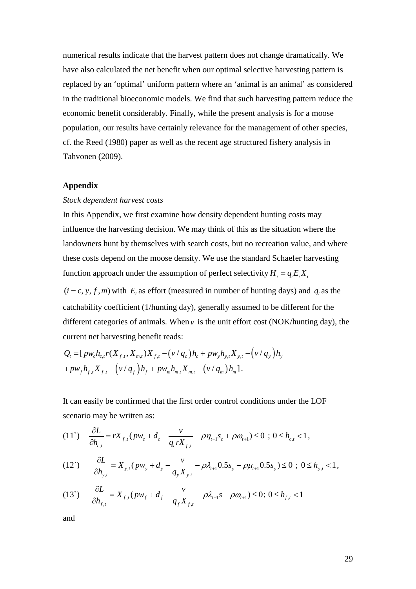numerical results indicate that the harvest pattern does not change dramatically. We have also calculated the net benefit when our optimal selective harvesting pattern is replaced by an 'optimal' uniform pattern where an 'animal is an animal' as considered in the traditional bioeconomic models. We find that such harvesting pattern reduce the economic benefit considerably. Finally, while the present analysis is for a moose population, our results have certainly relevance for the management of other species, cf. the Reed (1980) paper as well as the recent age structured fishery analysis in Tahvonen (2009).

### **Appendix**

#### *Stock dependent harvest costs*

In this Appendix, we first examine how density dependent hunting costs may influence the harvesting decision. We may think of this as the situation where the landowners hunt by themselves with search costs, but no recreation value, and where these costs depend on the moose density. We use the standard Schaefer harvesting function approach under the assumption of perfect selectivity  $H_i = q_i E_i X_i$ 

 $(i = c, y, f, m)$  with  $E_i$  as effort (measured in number of hunting days) and  $q_i$  as the catchability coefficient (1/hunting day), generally assumed to be different for the different categories of animals. When  $\nu$  is the unit effort cost (NOK/hunting day), the current net harvesting benefit reads:

$$
Q_{t} = [p w_{c} h_{c,t} r(X_{f,t}, X_{m,t}) X_{f,t} - (v/q_{c}) h_{c} + p w_{y} h_{y,t} X_{y,t} - (v/q_{y}) h_{y} + p w_{f} h_{f,t} X_{f,t} - (v/q_{f}) h_{f} + p w_{m} h_{m,t} X_{m,t} - (v/q_{m}) h_{m}].
$$

It can easily be confirmed that the first order control conditions under the LOF scenario may be written as:

$$
(11^{\circ}) \quad \frac{\partial L}{\partial h_{c,t}} = rX_{f,t}(pw_c + d_c - \frac{v}{q_c rX_{f,t}} - \rho \eta_{t+1} s_c + \rho \omega_{t+1}) \leq 0 \quad ; \quad 0 \leq h_{c,t} < 1,
$$

$$
(12^{\circ}) \qquad \frac{\partial L}{\partial h_{y,t}} = X_{y,t} (p w_y + d_y - \frac{v}{q_y X_{y,t}} - \rho \lambda_{t+1} 0.5 s_y - \rho \mu_{t+1} 0.5 s_y) \leq 0 \; ; \; 0 \leq h_{y,t} < 1,
$$

$$
(13^{\circ}) \qquad \frac{\partial L}{\partial h_{f,t}} = X_{f,t}(pw_f + d_f - \frac{v}{q_f X_{f,t}} - \rho \lambda_{t+1} s - \rho \omega_{t+1}) \le 0; \ 0 \le h_{f,t} < 1
$$

and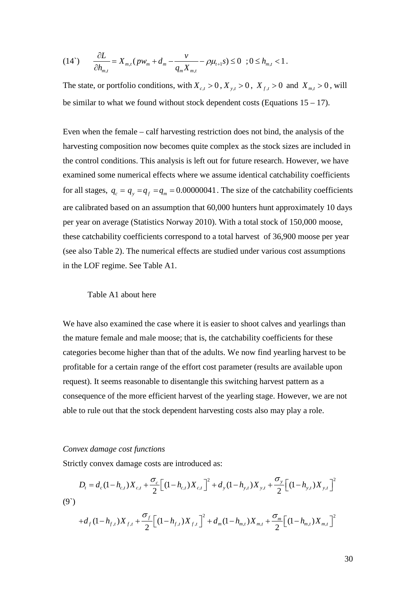(14') 
$$
\frac{\partial L}{\partial h_{m,t}} = X_{m,t} (p w_m + d_m - \frac{v}{q_m X_{m,t}} - \rho \mu_{t+1} s) \leq 0 \quad ; 0 \leq h_{m,t} < 1.
$$

The state, or portfolio conditions, with  $X_{c,t} > 0$ ,  $X_{y,t} > 0$ ,  $X_{f,t} > 0$  and  $X_{m,t} > 0$ , will be similar to what we found without stock dependent costs (Equations  $15 - 17$ ).

Even when the female – calf harvesting restriction does not bind, the analysis of the harvesting composition now becomes quite complex as the stock sizes are included in the control conditions. This analysis is left out for future research. However, we have examined some numerical effects where we assume identical catchability coefficients for all stages,  $q_c = q_y = q_f = q_m = 0.00000041$ . The size of the catchability coefficients are calibrated based on an assumption that 60,000 hunters hunt approximately 10 days per year on average (Statistics Norway 2010). With a total stock of 150,000 moose, these catchability coefficients correspond to a total harvest of 36,900 moose per year (see also Table 2). The numerical effects are studied under various cost assumptions in the LOF regime. See Table A1.

#### Table A1 about here

We have also examined the case where it is easier to shoot calves and yearlings than the mature female and male moose; that is, the catchability coefficients for these categories become higher than that of the adults. We now find yearling harvest to be profitable for a certain range of the effort cost parameter (results are available upon request). It seems reasonable to disentangle this switching harvest pattern as a consequence of the more efficient harvest of the yearling stage. However, we are not able to rule out that the stock dependent harvesting costs also may play a role.

#### *Convex damage cost functions*

Strictly convex damage costs are introduced as:

$$
D_{t} = d_{c}(1-h_{c,t})X_{c,t} + \frac{\sigma_{c}}{2}\Big[(1-h_{c,t})X_{c,t}\Big]^{2} + d_{y}(1-h_{y,t})X_{y,t} + \frac{\sigma_{y}}{2}\Big[(1-h_{y,t})X_{y,t}\Big]^{2}
$$
\n(9)\n
$$
+d_{f}(1-h_{f,t})X_{f,t} + \frac{\sigma_{f}}{2}\Big[(1-h_{f,t})X_{f,t}\Big]^{2} + d_{m}(1-h_{m,t})X_{m,t} + \frac{\sigma_{m}}{2}\Big[(1-h_{m,t})X_{m,t}\Big]^{2}
$$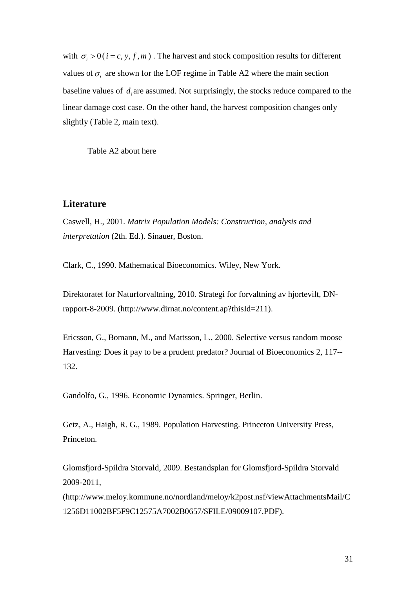with  $\sigma_i > 0$  ( $i = c, y, f, m$ ). The harvest and stock composition results for different values of  $\sigma_i$  are shown for the LOF regime in Table A2 where the main section baseline values of *d*, are assumed. Not surprisingly, the stocks reduce compared to the linear damage cost case. On the other hand, the harvest composition changes only slightly (Table 2, main text).

Table A2 about here

# **Literature**

Caswell, H., 2001. *Matrix Population Models: Construction, analysis and interpretation* (2th. Ed.). Sinauer, Boston.

Clark, C., 1990. Mathematical Bioeconomics. Wiley, New York.

Direktoratet for Naturforvaltning, 2010. Strategi for forvaltning av hjortevilt, DNrapport-8-2009. (http://www.dirnat.no/content.ap?thisId=211).

Ericsson, G., Bomann, M., and Mattsson, L., 2000. Selective versus random moose Harvesting: Does it pay to be a prudent predator? Journal of Bioeconomics 2, 117-- 132.

Gandolfo, G., 1996. Economic Dynamics. Springer, Berlin.

Getz, A., Haigh, R. G., 1989. Population Harvesting. Princeton University Press, Princeton.

Glomsfjord-Spildra Storvald, 2009. Bestandsplan for Glomsfjord-Spildra Storvald 2009-2011,

(http://www.meloy.kommune.no/nordland/meloy/k2post.nsf/viewAttachmentsMail/C 1256D11002BF5F9C12575A7002B0657/\$FILE/09009107.PDF).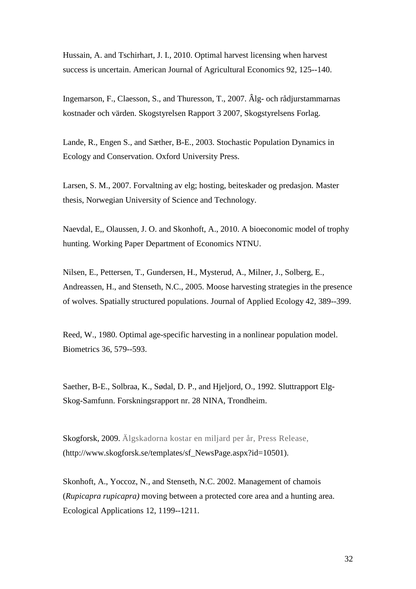Hussain, A. and Tschirhart, J. I., 2010. Optimal harvest licensing when harvest success is uncertain. American Journal of Agricultural Economics 92, 125--140.

Ingemarson, F., Claesson, S., and Thuresson, T., 2007. Âlg- och rådjurstammarnas kostnader och värden. Skogstyrelsen Rapport 3 2007, Skogstyrelsens Forlag.

Lande, R., Engen S., and Sæther, B-E., 2003. Stochastic Population Dynamics in Ecology and Conservation. Oxford University Press.

Larsen, S. M., 2007. Forvaltning av elg; hosting, beiteskader og predasjon. Master thesis, Norwegian University of Science and Technology.

Naevdal, E,, Olaussen, J. O. and Skonhoft, A., 2010. A bioeconomic model of trophy hunting. Working Paper Department of Economics NTNU.

Nilsen, E., Pettersen, T., Gundersen, H., Mysterud, A., Milner, J., Solberg, E., Andreassen, H., and Stenseth, N.C., 2005. Moose harvesting strategies in the presence of wolves. Spatially structured populations. Journal of Applied Ecology 42, 389--399.

Reed, W., 1980. Optimal age-specific harvesting in a nonlinear population model. Biometrics 36, 579--593.

Saether, B-E., Solbraa, K., Sødal, D. P., and Hjeljord, O., 1992. Sluttrapport Elg-Skog-Samfunn. Forskningsrapport nr. 28 NINA, Trondheim.

Skogforsk, 2009. Älgskadorna kostar en miljard per år, Press Release, (http://www.skogforsk.se/templates/sf\_NewsPage.aspx?id=10501).

Skonhoft, A., Yoccoz, N., and Stenseth, N.C. 2002. Management of chamois (*Rupicapra rupicapra)* moving between a protected core area and a hunting area. Ecological Applications 12, 1199--1211.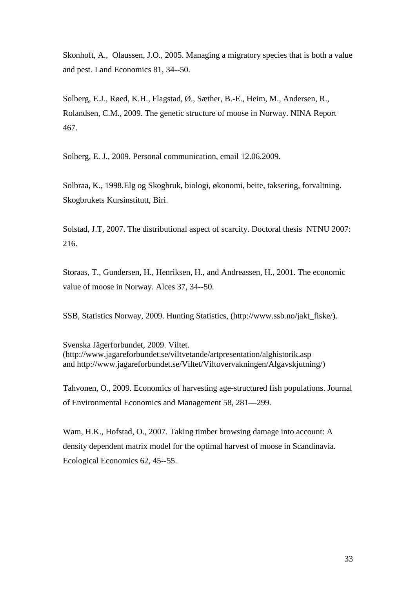Skonhoft, A., Olaussen, J.O., 2005. Managing a migratory species that is both a value and pest. Land Economics 81, 34--50.

Solberg, E.J., Røed, K.H., Flagstad, Ø., Sæther, B.-E., Heim, M., Andersen, R., Rolandsen, C.M., 2009. The genetic structure of moose in Norway. NINA Report 467.

Solberg, E. J., 2009. Personal communication, email 12.06.2009.

Solbraa, K., 1998.Elg og Skogbruk, biologi, økonomi, beite, taksering, forvaltning. Skogbrukets Kursinstitutt, Biri.

Solstad, J.T, 2007. The distributional aspect of scarcity. Doctoral thesis NTNU 2007: 216.

Storaas, T., Gundersen, H., Henriksen, H., and Andreassen, H., 2001. The economic value of moose in Norway. Alces 37, 34--50.

SSB, Statistics Norway, 2009. Hunting Statistics, (http://www.ssb.no/jakt\_fiske/).

Svenska Jägerforbundet, 2009. Viltet. (http://www.jagareforbundet.se/viltvetande/artpresentation/alghistorik.asp and http://www.jagareforbundet.se/Viltet/Viltovervakningen/Algavskjutning/)

Tahvonen, O., 2009. Economics of harvesting age-structured fish populations. Journal of Environmental Economics and Management 58, 281—299.

Wam, H.K., Hofstad, O., 2007. Taking timber browsing damage into account: A density dependent matrix model for the optimal harvest of moose in Scandinavia. Ecological Economics 62, 45--55.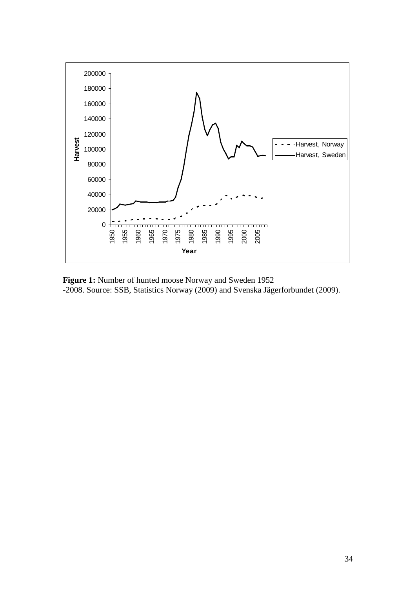

**Figure 1:** Number of hunted moose Norway and Sweden 1952 -2008. Source: SSB, Statistics Norway (2009) and Svenska Jägerforbundet (2009).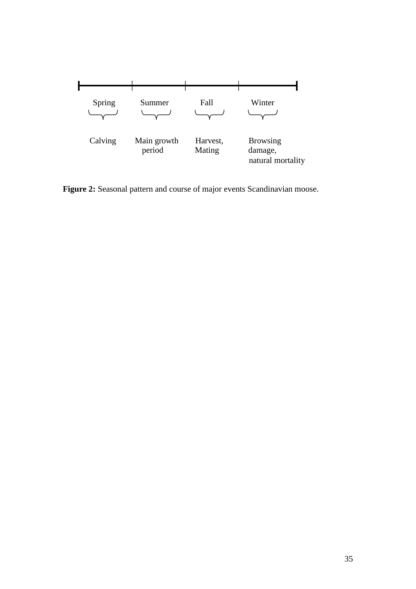

Figure 2: Seasonal pattern and course of major events Scandinavian moose.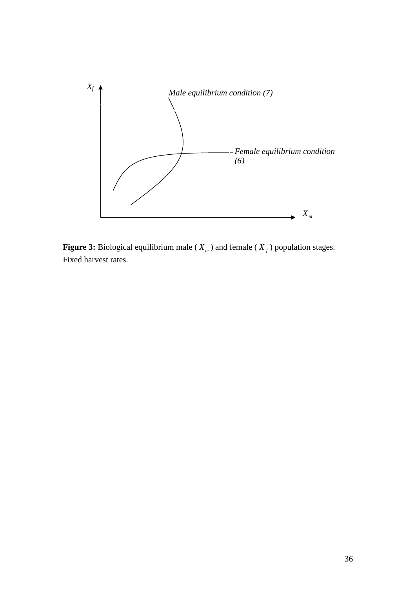

**Figure 3:** Biological equilibrium male ( $X_m$ ) and female ( $X_f$ ) population stages. Fixed harvest rates.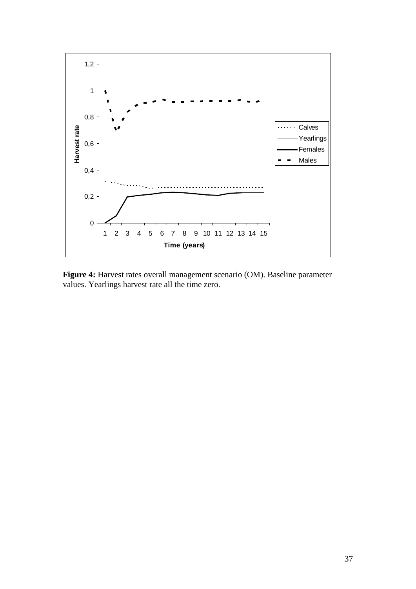

**Figure 4:** Harvest rates overall management scenario (OM). Baseline parameter values. Yearlings harvest rate all the time zero.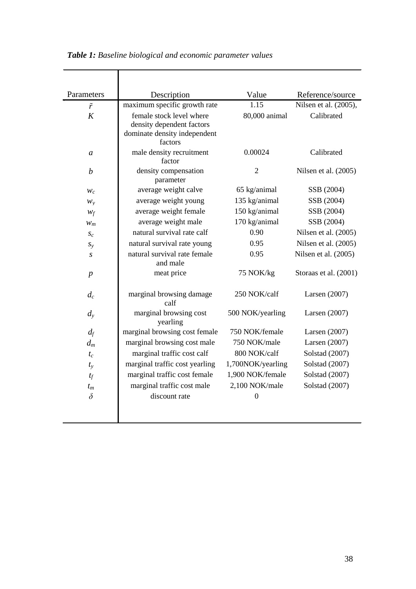| Parameters        | Description                                                                                      | Value             | Reference/source      |
|-------------------|--------------------------------------------------------------------------------------------------|-------------------|-----------------------|
| $\tilde{r}$       | maximum specific growth rate                                                                     | 1.15              | Nilsen et al. (2005), |
| K                 | female stock level where<br>density dependent factors<br>dominate density independent<br>factors | 80,000 animal     | Calibrated            |
| $\mathfrak a$     | male density recruitment<br>factor                                                               | 0.00024           | Calibrated            |
| $\boldsymbol{b}$  | density compensation<br>parameter                                                                | $\overline{2}$    | Nilsen et al. (2005)  |
| $W_c$             | average weight calve                                                                             | 65 kg/animal      | SSB (2004)            |
| $W_{\rm V}$       | average weight young                                                                             | 135 kg/animal     | SSB (2004)            |
| $W_f$             | average weight female                                                                            | 150 kg/animal     | SSB (2004)            |
| $W_m$             | average weight male                                                                              | 170 kg/animal     | SSB (2004)            |
| $S_{\mathcal{C}}$ | natural survival rate calf                                                                       | 0.90              | Nilsen et al. (2005)  |
| $S_{y}$           | natural survival rate young                                                                      | 0.95              | Nilsen et al. (2005)  |
| $\boldsymbol{S}$  | natural survival rate female<br>and male                                                         | 0.95              | Nilsen et al. (2005)  |
| $\boldsymbol{p}$  | meat price                                                                                       | 75 NOK/kg         | Storaas et al. (2001) |
| $d_c$             | marginal browsing damage<br>calf                                                                 | 250 NOK/calf      | Larsen $(2007)$       |
| $d_{\rm v}$       | marginal browsing cost<br>yearling                                                               | 500 NOK/yearling  | Larsen $(2007)$       |
| $d_f$             | marginal browsing cost female                                                                    | 750 NOK/female    | Larsen (2007)         |
| $d_m$             | marginal browsing cost male                                                                      | 750 NOK/male      | Larsen $(2007)$       |
| $t_c$             | marginal traffic cost calf                                                                       | 800 NOK/calf      | Solstad (2007)        |
| $t_{\rm v}$       | marginal traffic cost yearling                                                                   | 1,700NOK/yearling | Solstad (2007)        |
| $t_f$             | marginal traffic cost female                                                                     | 1,900 NOK/female  | Solstad (2007)        |
| $t_m$             | marginal traffic cost male                                                                       | 2,100 NOK/male    | Solstad (2007)        |
| $\delta$          | discount rate                                                                                    | $\boldsymbol{0}$  |                       |

*Table 1: Baseline biological and economic parameter values*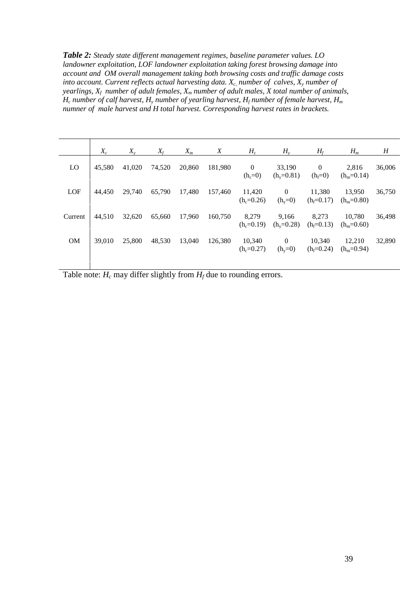*Table 2: Steady state different management regimes, baseline parameter values. LO landowner exploitation, LOF landowner exploitation taking forest browsing damage into account and OM overall management taking both browsing costs and traffic damage costs into account. Current reflects actual harvesting data.*  $X_c$ , *number of calves,*  $X_y$  *number of yearlings, Xf number of adult females, Xm number of adult males, X total number of animals, H<sub>c</sub> number of calf harvest,*  $H<sub>y</sub>$  *number of yearling harvest,*  $H<sub>f</sub>$  *number of female harvest,*  $H<sub>m</sub>$ *numner of male harvest and H total harvest. Corresponding harvest rates in brackets.*

|           | $X_c$  | $X_{v}$ | $X_f$  | $X_m$  | X       | $H_c$                     | $H_{v}$                   | $H_f$                     | $H_m$                  | H      |
|-----------|--------|---------|--------|--------|---------|---------------------------|---------------------------|---------------------------|------------------------|--------|
| LO        | 45,580 | 41,020  | 74,520 | 20,860 | 181,980 | $\mathbf{0}$<br>$(h_c=0)$ | 33,190<br>$(h_v=0.81)$    | $\mathbf{0}$<br>$(h_f=0)$ | 2.816<br>$(h_m=0.14)$  | 36,006 |
| LOF       | 44,450 | 29,740  | 65,790 | 17,480 | 157,460 | 11,420<br>$(h_c=0.26)$    | $\mathbf{0}$<br>$(h_v=0)$ | 11.380<br>$(h_f=0.17)$    | 13,950<br>$(h_m=0.80)$ | 36,750 |
| Current   | 44.510 | 32,620  | 65,660 | 17,960 | 160.750 | 8.279<br>$(h_c=0.19)$     | 9.166<br>$(h_v=0.28)$     | 8.273<br>$(h_f=0.13)$     | 10.780<br>$(h_m=0.60)$ | 36,498 |
| <b>OM</b> | 39,010 | 25,800  | 48,530 | 13,040 | 126.380 | 10,340<br>$(h_c=0.27)$    | $\mathbf{0}$<br>$(h_y=0)$ | 10.340<br>$(h_f=0.24)$    | 12.210<br>$(h_m=0.94)$ | 32,890 |

Table note:  $H_c$  may differ slightly from  $H_f$  due to rounding errors.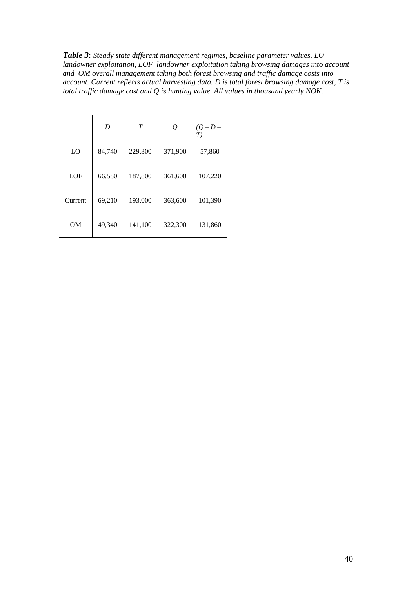*Table 3*: *Steady state different management regimes, baseline parameter values. LO landowner exploitation, LOF landowner exploitation taking browsing damages into account and OM overall management taking both forest browsing and traffic damage costs into account. Current reflects actual harvesting data. D is total forest browsing damage cost, T is total traffic damage cost and Q is hunting value. All values in thousand yearly NOK.* 

|         | D      | T       | Q       | $(Q - D -$<br>T) |
|---------|--------|---------|---------|------------------|
| LO      | 84,740 | 229,300 | 371,900 | 57,860           |
| LOF     | 66,580 | 187,800 | 361,600 | 107,220          |
| Current | 69,210 | 193,000 | 363,600 | 101,390          |
| OМ      | 49,340 | 141,100 | 322,300 | 131,860          |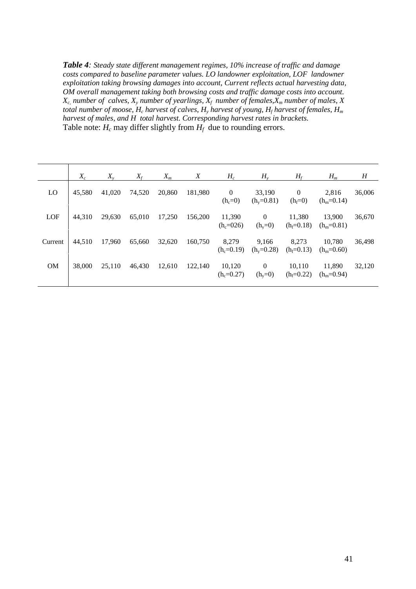*Table 4: Steady state different management regimes, 10% increase of traffic and damage costs compared to baseline parameter values. LO landowner exploitation, LOF landowner exploitation taking browsing damages into account, Current reflects actual harvesting data, OM overall management taking both browsing costs and traffic damage costs into account.*   $X_c$ , *number of calves,*  $X_v$  *number of yearlings,*  $X_f$  *number of females,*  $X_m$  *number of males,*  $X$ *total number of moose,*  $H_c$  *harvest of calves,*  $H_v$  *harvest of young,*  $H_f$  *harvest of females,*  $H_m$ *harvest of males, and H total harvest. Corresponding harvest rates in brackets.* Table note:  $H_c$  may differ slightly from  $H_f$  due to rounding errors.

| $X_c$  | $X_{\rm v}$ | $X_f$  | $X_m$  | X       | $H_c$                       | $H_{v}$                   | $H_f$                     | $H_m$                  | H      |
|--------|-------------|--------|--------|---------|-----------------------------|---------------------------|---------------------------|------------------------|--------|
| 45,580 | 41,020      | 74,520 | 20,860 | 181,980 | $\overline{0}$<br>$(h_c=0)$ | 33,190<br>$(h_v=0.81)$    | $\mathbf{0}$<br>$(h_f=0)$ | 2,816<br>$(h_m=0.14)$  | 36,006 |
| 44.310 | 29,630      | 65,010 | 17,250 | 156,200 | 11,390<br>$(h_c=026)$       | $\mathbf{0}$<br>$(h_y=0)$ | 11,380<br>$(h_f=0.18)$    | 13.900<br>$(h_m=0.81)$ | 36,670 |
| 44.510 | 17,960      | 65,660 | 32,620 | 160,750 | 8,279<br>$(h_c=0.19)$       | 9.166<br>$(h_v=0.28)$     | 8.273<br>$(h_f=0.13)$     | 10.780<br>$(h_m=0.60)$ | 36,498 |
| 38,000 | 25,110      | 46,430 | 12,610 | 122,140 | 10,120<br>$(h_c=0.27)$      | $\theta$<br>$(h_y=0)$     | 10,110<br>$(h_f=0.22)$    | 11.890<br>$(h_m=0.94)$ | 32,120 |
|        |             |        |        |         |                             |                           |                           |                        |        |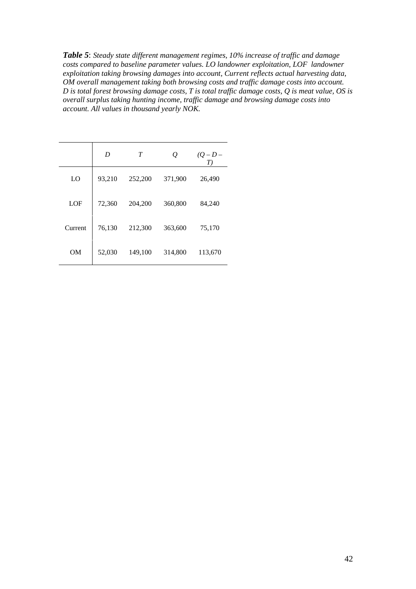*Table 5*: *Steady state different management regimes, 10% increase of traffic and damage costs compared to baseline parameter values. LO landowner exploitation, LOF landowner exploitation taking browsing damages into account, Current reflects actual harvesting data, OM overall management taking both browsing costs and traffic damage costs into account. D is total forest browsing damage costs, T is total traffic damage costs, Q is meat value, OS is overall surplus taking hunting income, traffic damage and browsing damage costs into account. All values in thousand yearly NOK.* 

|         | D      | T       |         | T)      |
|---------|--------|---------|---------|---------|
| LO      | 93,210 | 252,200 | 371,900 | 26,490  |
| LOF     | 72,360 | 204,200 | 360,800 | 84,240  |
| Current | 76,130 | 212,300 | 363,600 | 75,170  |
| OМ      | 52,030 | 149,100 | 314,800 | 113,670 |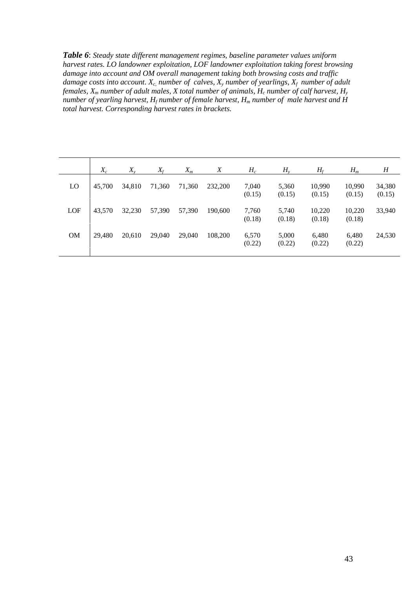*Table 6*: *Steady state different management regimes, baseline parameter values uniform harvest rates. LO landowner exploitation, LOF landowner exploitation taking forest browsing damage into account and OM overall management taking both browsing costs and traffic damage costs into account. Xc, number of calves, Xy number of yearlings, Xf number of adult females, Xm number of adult males, X total number of animals, Hc number of calf harvest, Hy number of yearling harvest,*  $H_f$  *number of female harvest,*  $H_m$  *number of male harvest and H total harvest. Corresponding harvest rates in brackets.*

|           | $X_c$  | $X_{\rm v}$ | $X_f$  | $X_m$  | Χ       | $H_c$           | $H_{v}$         | $H_f$            | $H_m$            | H                |
|-----------|--------|-------------|--------|--------|---------|-----------------|-----------------|------------------|------------------|------------------|
| LO        | 45,700 | 34,810      | 71,360 | 71,360 | 232,200 | 7,040<br>(0.15) | 5,360<br>(0.15) | 10,990<br>(0.15) | 10,990<br>(0.15) | 34,380<br>(0.15) |
| LOF       | 43,570 | 32,230      | 57,390 | 57,390 | 190,600 | 7,760<br>(0.18) | 5,740<br>(0.18) | 10,220<br>(0.18) | 10,220<br>(0.18) | 33,940           |
| <b>OM</b> | 29.480 | 20,610      | 29,040 | 29,040 | 108,200 | 6,570<br>(0.22) | 5,000<br>(0.22) | 6,480<br>(0.22)  | 6,480<br>(0.22)  | 24,530           |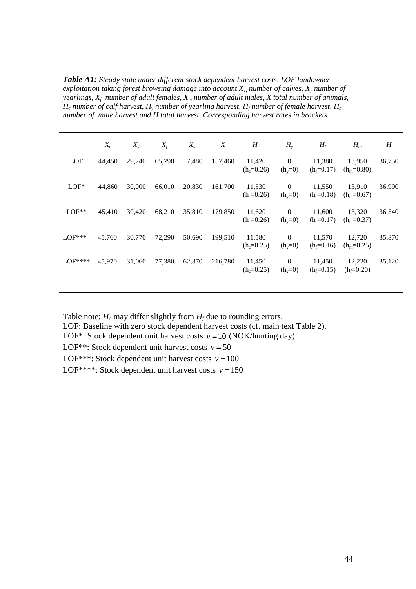*Table A1: Steady state under different stock dependent harvest costs, LOF landowner exploitation taking forest browsing damage into account Xc, number of calves, Xy number of yearlings, Xf number of adult females, Xm number of adult males, X total number of animals, H<sub>c</sub> number of calf harvest, H<sub>y</sub> <i>number of yearling harvest, H<sub>f</sub> number of female harvest, H<sub>m</sub> number of male harvest and H total harvest. Corresponding harvest rates in brackets.* 

|          | $X_c$  | $X_{\nu}$ | $X_f$  | $X_m$  | X       | $H_c$                  | $H_{v}$                       | $H_f$                  | $H_m$                  | H      |
|----------|--------|-----------|--------|--------|---------|------------------------|-------------------------------|------------------------|------------------------|--------|
| LOF      | 44,450 | 29,740    | 65,790 | 17,480 | 157,460 | 11,420<br>$(h_c=0.26)$ | $\mathbf{0}$<br>$(h_y=0)$     | 11,380<br>$(h_f=0.17)$ | 13,950<br>$(h_m=0.80)$ | 36,750 |
| $LOF^*$  | 44,860 | 30,000    | 66,010 | 20,830 | 161,700 | 11,530<br>$(h_c=0.26)$ | $\mathbf{0}$<br>$(h_y=0)$     | 11,550<br>$(h_f=0.18)$ | 13,910<br>$(h_m=0.67)$ | 36,990 |
| $LOF**$  | 45,410 | 30,420    | 68,210 | 35,810 | 179,850 | 11,620<br>$(h_c=0.26)$ | $\mathbf{0}$<br>$(h_y=0)$     | 11,600<br>$(h_f=0.17)$ | 13,320<br>$(h_m=0.37)$ | 36,540 |
| $LOF***$ | 45,760 | 30,770    | 72,290 | 50,690 | 199,510 | 11,580<br>$(h_c=0.25)$ | $\mathbf{0}$<br>$(h_y=0)$     | 11,570<br>$(h_f=0.16)$ | 12,720<br>$(h_m=0.25)$ | 35,870 |
| $LOF***$ | 45,970 | 31,060    | 77,380 | 62,370 | 216,780 | 11,450<br>$(h_c=0.25)$ | $\boldsymbol{0}$<br>$(h_y=0)$ | 11,450<br>$(h_f=0.15)$ | 12,220<br>$(h_f=0.20)$ | 35,120 |

Table note:  $H_c$  may differ slightly from  $H_f$  due to rounding errors.

LOF: Baseline with zero stock dependent harvest costs (cf. main text Table 2).

LOF<sup>\*</sup>: Stock dependent unit harvest costs  $v = 10$  (NOK/hunting day)

LOF<sup>\*\*</sup>: Stock dependent unit harvest costs  $v = 50$ 

LOF<sup>\*\*\*</sup>: Stock dependent unit harvest costs  $v = 100$ 

LOF\*\*\*\*: Stock dependent unit harvest costs  $v = 150$